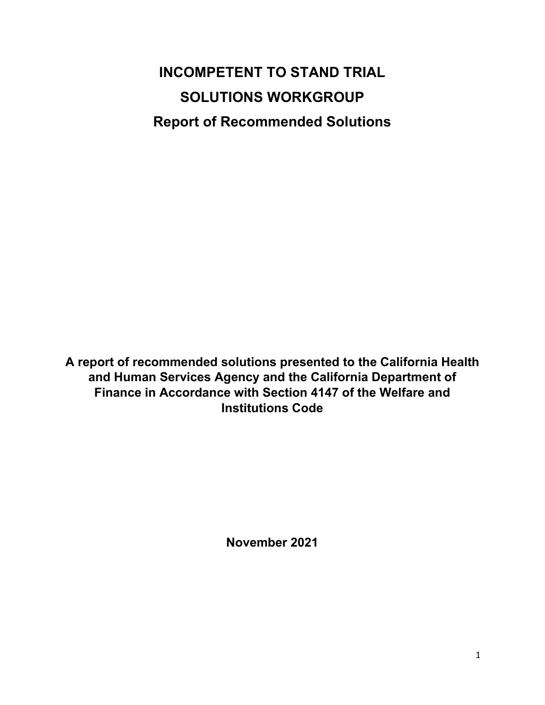# **INCOMPETENT TO STAND TRIAL SOLUTIONS WORKGROUP Report of Recommended Solutions**

**A report of recommended solutions presented to the California Health and Human Services Agency and the California Department of Finance in Accordance with Section 4147 of the Welfare and Institutions Code**

**November 2021**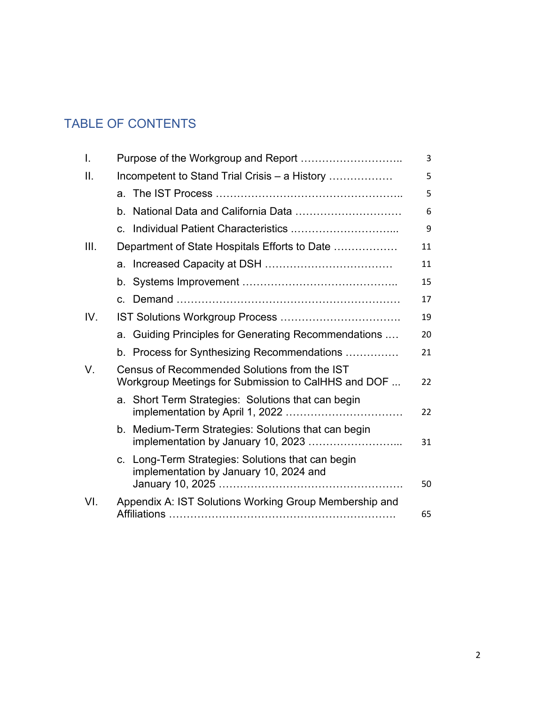# TABLE OF CONTENTS

| I.   |                                                                                                            |    |  |  |  |  |
|------|------------------------------------------------------------------------------------------------------------|----|--|--|--|--|
| II.  | Incompetent to Stand Trial Crisis - a History                                                              | 5  |  |  |  |  |
|      |                                                                                                            | 5  |  |  |  |  |
|      | b. National Data and California Data                                                                       | 6  |  |  |  |  |
|      | Individual Patient Characteristics<br>$\mathbf{C}$                                                         | 9  |  |  |  |  |
| III. | Department of State Hospitals Efforts to Date                                                              | 11 |  |  |  |  |
|      |                                                                                                            | 11 |  |  |  |  |
|      |                                                                                                            | 15 |  |  |  |  |
|      | $\mathbf{C}$ .                                                                                             | 17 |  |  |  |  |
| IV.  |                                                                                                            | 19 |  |  |  |  |
|      | a. Guiding Principles for Generating Recommendations                                                       | 20 |  |  |  |  |
|      | b. Process for Synthesizing Recommendations                                                                | 21 |  |  |  |  |
| V.   | Census of Recommended Solutions from the IST<br>Workgroup Meetings for Submission to CalHHS and DOF        | 22 |  |  |  |  |
|      | a. Short Term Strategies: Solutions that can begin                                                         | 22 |  |  |  |  |
|      | b. Medium-Term Strategies: Solutions that can begin<br>implementation by January 10, 2023                  | 31 |  |  |  |  |
|      | Long-Term Strategies: Solutions that can begin<br>$\mathbf{C}$ .<br>implementation by January 10, 2024 and | 50 |  |  |  |  |
| VI.  | Appendix A: IST Solutions Working Group Membership and                                                     | 65 |  |  |  |  |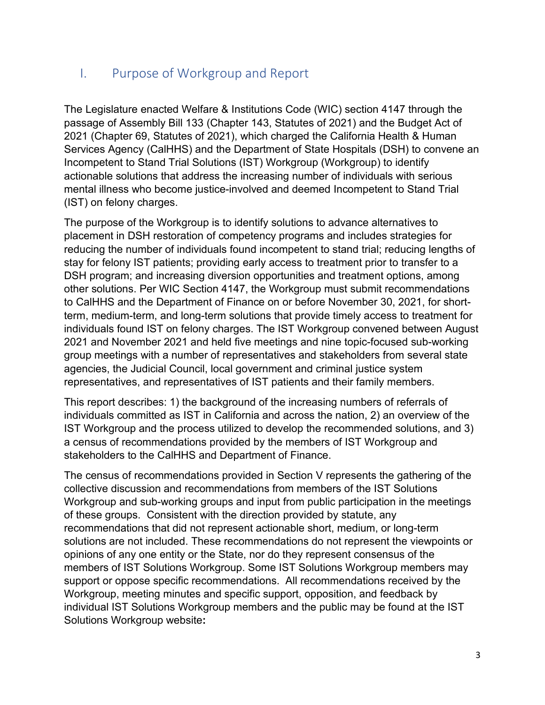# I. Purpose of Workgroup and Report

The Legislature enacted Welfare & Institutions Code (WIC) section 4147 through the passage of Assembly Bill 133 (Chapter 143, Statutes of 2021) and the Budget Act of 2021 (Chapter 69, Statutes of 2021), which charged the California Health & Human Services Agency (CalHHS) and the Department of State Hospitals (DSH) to convene an Incompetent to Stand Trial Solutions (IST) Workgroup (Workgroup) to identify actionable solutions that address the increasing number of individuals with serious mental illness who become justice-involved and deemed Incompetent to Stand Trial (IST) on felony charges.

The purpose of the Workgroup is to identify solutions to advance alternatives to placement in DSH restoration of competency programs and includes strategies for reducing the number of individuals found incompetent to stand trial; reducing lengths of stay for felony IST patients; providing early access to treatment prior to transfer to a DSH program; and increasing diversion opportunities and treatment options, among other solutions. Per WIC Section 4147, the Workgroup must submit recommendations to CalHHS and the Department of Finance on or before November 30, 2021, for shortterm, medium-term, and long-term solutions that provide timely access to treatment for individuals found IST on felony charges. The IST Workgroup convened between August 2021 and November 2021 and held five meetings and nine topic-focused sub-working group meetings with a number of representatives and stakeholders from several state agencies, the Judicial Council, local government and criminal justice system representatives, and representatives of IST patients and their family members.

This report describes: 1) the background of the increasing numbers of referrals of individuals committed as IST in California and across the nation, 2) an overview of the IST Workgroup and the process utilized to develop the recommended solutions, and 3) a census of recommendations provided by the members of IST Workgroup and stakeholders to the CalHHS and Department of Finance.

The census of recommendations provided in Section V represents the gathering of the collective discussion and recommendations from members of the IST Solutions Workgroup and sub-working groups and input from public participation in the meetings of these groups. Consistent with the direction provided by statute, any recommendations that did not represent actionable short, medium, or long-term solutions are not included. These recommendations do not represent the viewpoints or opinions of any one entity or the State, nor do they represent consensus of the members of IST Solutions Workgroup. Some IST Solutions Workgroup members may support or oppose specific recommendations. All recommendations received by the Workgroup, meeting minutes and specific support, opposition, and feedback by individual IST Solutions Workgroup members and the public may be found at the IST Solutions Workgroup website**:**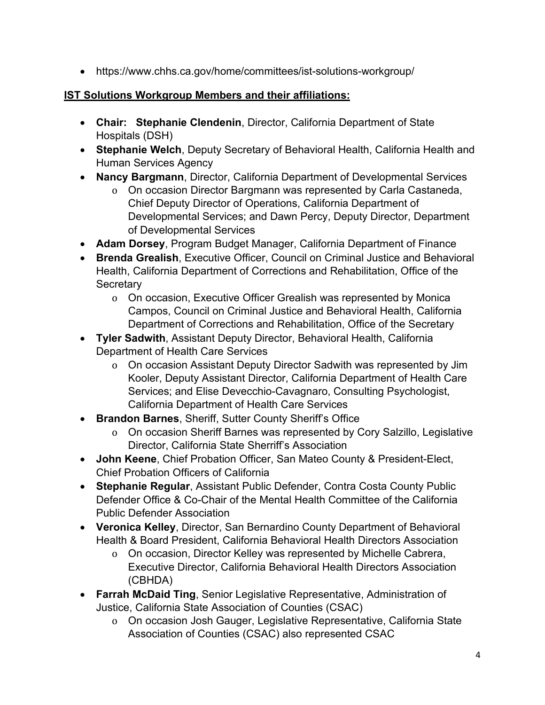• https://www.chhs.ca.gov/home/committees/ist-solutions-workgroup/ [• https://www.chhs.ca.gov/home/committees/ist-solutions-workgroup/](https://www.chhs.ca.gov/home/committees/ist-solutions-workgroup/) 

### **IST Solutions Workgroup Members and their affiliations:**

- **Chair: Stephanie Clendenin**, Director, California Department of State Hospitals (DSH)
- **Stephanie Welch**, Deputy Secretary of Behavioral Health, California Health and Human Services Agency
- **Nancy Bargmann**, Director, California Department of Developmental Services
	- o On occasion Director Bargmann was represented by Carla Castaneda, Chief Deputy Director of Operations, California Department of Developmental Services; and Dawn Percy, Deputy Director, Department of Developmental Services
- **Adam Dorsey**, Program Budget Manager, California Department of Finance
- **Brenda Grealish**, Executive Officer, Council on Criminal Justice and Behavioral Health, California Department of Corrections and Rehabilitation, Office of the **Secretary** 
	- o On occasion, Executive Officer Grealish was represented by Monica Campos, Council on Criminal Justice and Behavioral Health, California Department of Corrections and Rehabilitation, Office of the Secretary
- **Tyler Sadwith**, Assistant Deputy Director, Behavioral Health, California Department of Health Care Services
	- o On occasion Assistant Deputy Director Sadwith was represented by Jim Kooler, Deputy Assistant Director, California Department of Health Care Services; and Elise Devecchio-Cavagnaro, Consulting Psychologist, California Department of Health Care Services
- **Brandon Barnes**, Sheriff, Sutter County Sheriff's Office
	- o On occasion Sheriff Barnes was represented by Cory Salzillo, Legislative Director, California State Sherriff's Association
- **John Keene**, Chief Probation Officer, San Mateo County & President-Elect, Chief Probation Officers of California
- **Stephanie Regular**, Assistant Public Defender, Contra Costa County Public Defender Office & Co-Chair of the Mental Health Committee of the California Public Defender Association
- **Veronica Kelley**, Director, San Bernardino County Department of Behavioral Health & Board President, California Behavioral Health Directors Association
	- o On occasion, Director Kelley was represented by Michelle Cabrera, Executive Director, California Behavioral Health Directors Association (CBHDA)
- **Farrah McDaid Ting**, Senior Legislative Representative, Administration of Justice, California State Association of Counties (CSAC)
	- o On occasion Josh Gauger, Legislative Representative, California State Association of Counties (CSAC) also represented CSAC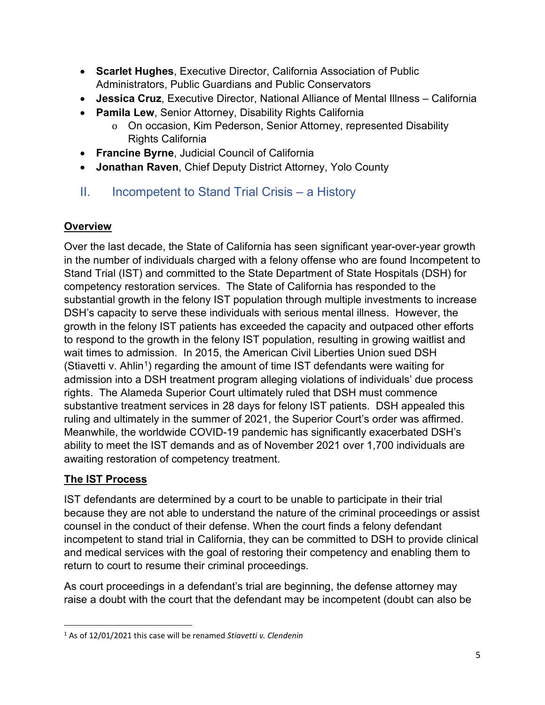- **Scarlet Hughes**, Executive Director, California Association of Public Administrators, Public Guardians and Public Conservators
- **Jessica Cruz**, Executive Director, National Alliance of Mental Illness California
- **Pamila Lew**, Senior Attorney, Disability Rights California
	- o On occasion, Kim Pederson, Senior Attorney, represented Disability Rights California
- **Francine Byrne**, Judicial Council of California
- **Jonathan Raven**, Chief Deputy District Attorney, Yolo County
- II. Incompetent to Stand Trial Crisis a History

## **Overview**

Over the last decade, the State of California has seen significant year-over-year growth in the number of individuals charged with a felony offense who are found Incompetent to Stand Trial (IST) and committed to the State Department of State Hospitals (DSH) for competency restoration services. The State of California has responded to the substantial growth in the felony IST population through multiple investments to increase DSH's capacity to serve these individuals with serious mental illness. However, the growth in the felony IST patients has exceeded the capacity and outpaced other efforts to respond to the growth in the felony IST population, resulting in growing waitlist and wait times to admission. In 2015, the American Civil Liberties Union sued DSH (Stiavetti v. Ahlin<sup>1</sup>) regarding the amount of time IST defendants were waiting for admission into a DSH treatment program alleging violations of individuals' due process rights. The Alameda Superior Court ultimately ruled that DSH must commence substantive treatment services in 28 days for felony IST patients. DSH appealed this ruling and ultimately in the summer of 2021, the Superior Court's order was affirmed. Meanwhile, the worldwide COVID-19 pandemic has significantly exacerbated DSH's ability to meet the IST demands and as of November 2021 over 1,700 individuals are awaiting restoration of competency treatment.

# **The IST Process**

IST defendants are determined by a court to be unable to participate in their trial because they are not able to understand the nature of the criminal proceedings or assist counsel in the conduct of their defense. When the court finds a felony defendant incompetent to stand trial in California, they can be committed to DSH to provide clinical and medical services with the goal of restoring their competency and enabling them to return to court to resume their criminal proceedings.

As court proceedings in a defendant's trial are beginning, the defense attorney may raise a doubt with the court that the defendant may be incompetent (doubt can also be

<sup>1</sup> As of 12/01/2021 this case will be renamed *Stiavetti v. Clendenin*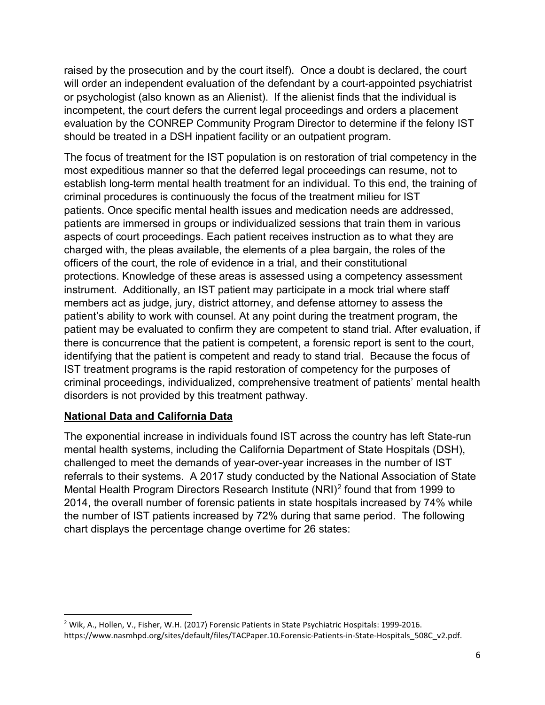raised by the prosecution and by the court itself). Once a doubt is declared, the court will order an independent evaluation of the defendant by a court-appointed psychiatrist or psychologist (also known as an Alienist). If the alienist finds that the individual is incompetent, the court defers the current legal proceedings and orders a placement evaluation by the CONREP Community Program Director to determine if the felony IST should be treated in a DSH inpatient facility or an outpatient program.

The focus of treatment for the IST population is on restoration of trial competency in the most expeditious manner so that the deferred legal proceedings can resume, not to establish long-term mental health treatment for an individual. To this end, the training of criminal procedures is continuously the focus of the treatment milieu for IST patients. Once specific mental health issues and medication needs are addressed, patients are immersed in groups or individualized sessions that train them in various aspects of court proceedings. Each patient receives instruction as to what they are charged with, the pleas available, the elements of a plea bargain, the roles of the officers of the court, the role of evidence in a trial, and their constitutional protections. Knowledge of these areas is assessed using a competency assessment instrument. Additionally, an IST patient may participate in a mock trial where staff members act as judge, jury, district attorney, and defense attorney to assess the patient's ability to work with counsel. At any point during the treatment program, the patient may be evaluated to confirm they are competent to stand trial. After evaluation, if there is concurrence that the patient is competent, a forensic report is sent to the court, identifying that the patient is competent and ready to stand trial. Because the focus of IST treatment programs is the rapid restoration of competency for the purposes of criminal proceedings, individualized, comprehensive treatment of patients' mental health disorders is not provided by this treatment pathway.

#### **National Data and California Data**

The exponential increase in individuals found IST across the country has left State-run mental health systems, including the California Department of State Hospitals (DSH), challenged to meet the demands of year-over-year increases in the number of IST referrals to their systems. A 2017 study conducted by the National Association of State Mental Health Program Directors Research Institute (NRI)2 found that from 1999 to 2014, the overall number of forensic patients in state hospitals increased by 74% while the number of IST patients increased by 72% during that same period. The following chart displays the percentage change overtime for 26 states:

<sup>2</sup> Wik, A., Hollen, V., Fisher, W.H. (2017) Forensic Patients in State Psychiatric Hospitals: 1999-2016. https://www.nasmhpd.org/sites/default/files/TACPaper.10.Forensic-Patients-in-State-Hospitals\_508C\_v2.pdf.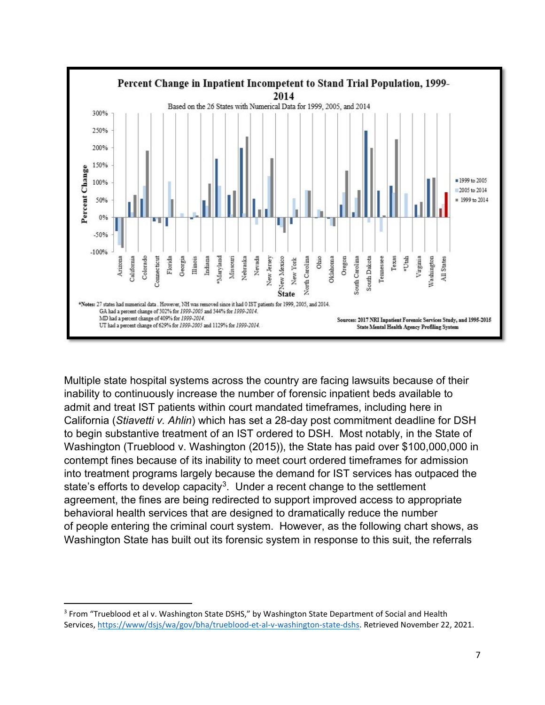

Multiple state hospital systems across the country are facing lawsuits because of their inability to continuously increase the number of forensic inpatient beds available to admit and treat IST patients within court mandated timeframes, including here in California (*Stiavetti v. Ahlin*) which has set a 28-day post commitment deadline for DSH to begin substantive treatment of an IST ordered to DSH. Most notably, in the State of Washington (Trueblood v. Washington (2015)), the State has paid over \$100,000,000 in contempt fines because of its inability to meet court ordered timeframes for admission into treatment programs largely because the demand for IST services has outpaced the state's efforts to develop capacity<sup>3</sup>. Under a recent change to the settlement agreement, the fines are being redirected to support improved access to appropriate behavioral health services that are designed to dramatically reduce the number of people entering the criminal court system. However, as the following chart shows, as Washington State has built out its forensic system in response to this suit, the referrals

<sup>&</sup>lt;sup>3</sup> From "Trueblood et al v. Washington State DSHS," by Washington State Department of Social and Health Services, https://www/dsjs/wa/gov/bha/trueblood-et-al-v-washington-state-dshs. Retrieved November 22, 2021.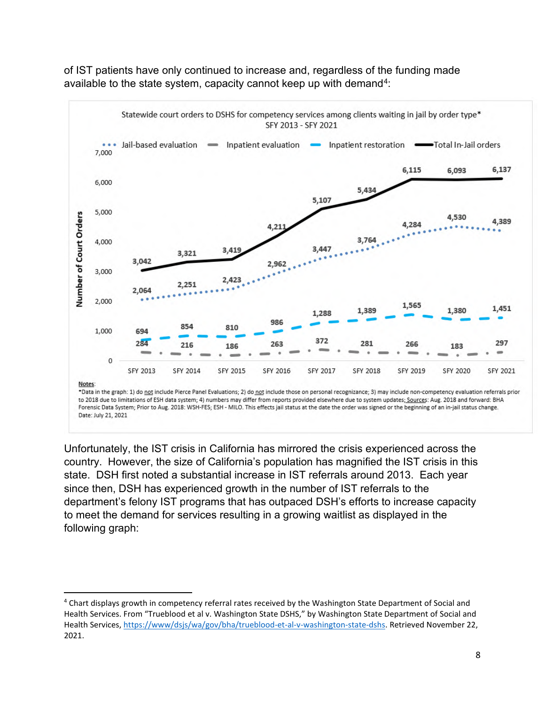

of IST patients have only continued to increase and, regardless of the funding made available to the state system, capacity cannot keep up with demand<sup>4</sup>:

Unfortunately, the IST crisis in California has mirrored the crisis experienced across the country. However, the size of California's population has magnified the IST crisis in this state. DSH first noted a substantial increase in IST referrals around 2013. Each year since then, DSH has experienced growth in the number of IST referrals to the department's felony IST programs that has outpaced DSH's efforts to increase capacity to meet the demand for services resulting in a growing waitlist as displayed in the following graph:

<sup>&</sup>lt;sup>4</sup> Chart displays growth in competency referral rates received by the Washington State Department of Social and Health Services. From "Trueblood et al v. Washington State DSHS," by Washington State Department of Social and Health Services, https://www/dsjs/wa/gov/bha/trueblood-et-al-v-washington-state-dshs. Retrieved November 22, 2021.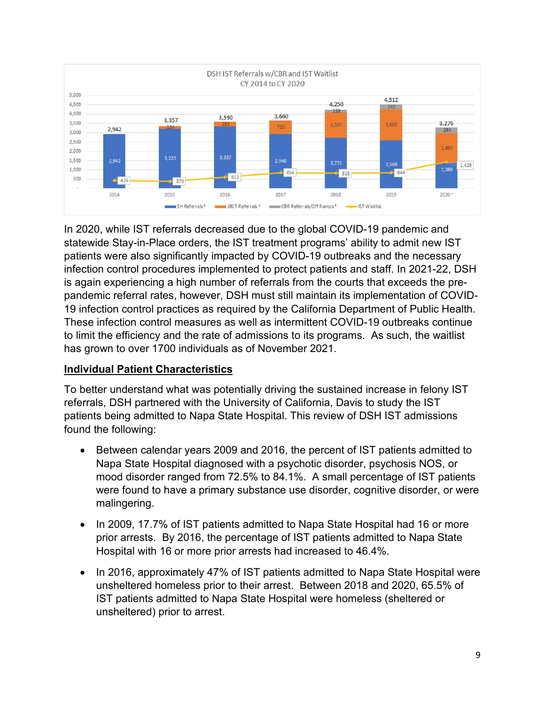

In 2020, while IST referrals decreased due to the global COVID-19 pandemic and statewide Stay-in-Place orders, the IST treatment programs' ability to admit new IST patients were also significantly impacted by COVID-19 outbreaks and the necessary infection control procedures implemented to protect patients and staff. In 2021-22, DSH is again experiencing a high number of referrals from the courts that exceeds the prepandemic referral rates, however, DSH must still maintain its implementation of COVID-19 infection control practices as required by the California Department of Public Health. These infection control measures as well as intermittent COVID-19 outbreaks continue to limit the efficiency and the rate of admissions to its programs. As such, the waitlist has grown to over 1700 individuals as of November 2021.

### **Individual Patient Characteristics**

To better understand what was potentially driving the sustained increase in felony IST referrals, DSH partnered with the University of California, Davis to study the IST patients being admitted to Napa State Hospital. This review of DSH IST admissions found the following:

- Between calendar years 2009 and 2016, the percent of IST patients admitted to Napa State Hospital diagnosed with a psychotic disorder, psychosis NOS, or mood disorder ranged from 72.5% to 84.1%. A small percentage of IST patients were found to have a primary substance use disorder, cognitive disorder, or were malingering.
- In 2009, 17.7% of IST patients admitted to Napa State Hospital had 16 or more prior arrests. By 2016, the percentage of IST patients admitted to Napa State Hospital with 16 or more prior arrests had increased to 46.4%.
- In 2016, approximately 47% of IST patients admitted to Napa State Hospital were unsheltered homeless prior to their arrest. Between 2018 and 2020, 65.5% of IST patients admitted to Napa State Hospital were homeless (sheltered or unsheltered) prior to arrest.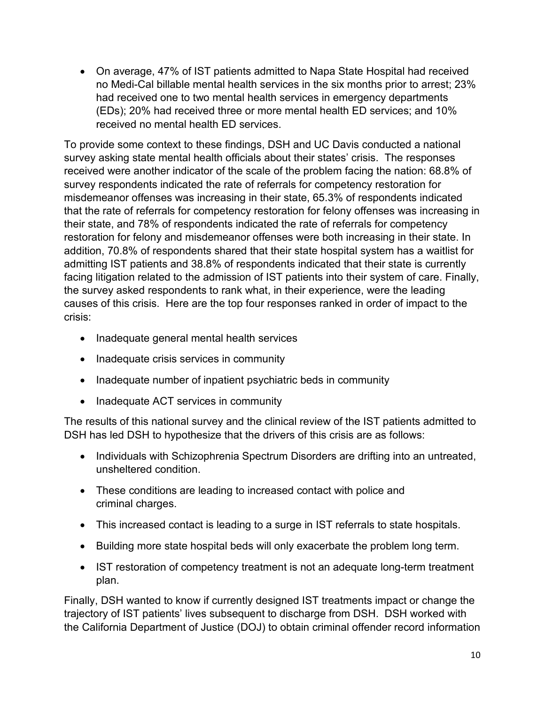• On average, 47% of IST patients admitted to Napa State Hospital had received no Medi-Cal billable mental health services in the six months prior to arrest; 23% had received one to two mental health services in emergency departments (EDs); 20% had received three or more mental health ED services; and 10% received no mental health ED services.

To provide some context to these findings, DSH and UC Davis conducted a national survey asking state mental health officials about their states' crisis. The responses received were another indicator of the scale of the problem facing the nation: 68.8% of survey respondents indicated the rate of referrals for competency restoration for misdemeanor offenses was increasing in their state, 65.3% of respondents indicated that the rate of referrals for competency restoration for felony offenses was increasing in their state, and 78% of respondents indicated the rate of referrals for competency restoration for felony and misdemeanor offenses were both increasing in their state. In addition, 70.8% of respondents shared that their state hospital system has a waitlist for admitting IST patients and 38.8% of respondents indicated that their state is currently facing litigation related to the admission of IST patients into their system of care. Finally, the survey asked respondents to rank what, in their experience, were the leading causes of this crisis. Here are the top four responses ranked in order of impact to the crisis:

- Inadequate general mental health services
- Inadequate crisis services in community
- Inadequate number of inpatient psychiatric beds in community
- Inadequate ACT services in community

The results of this national survey and the clinical review of the IST patients admitted to DSH has led DSH to hypothesize that the drivers of this crisis are as follows:

- Individuals with Schizophrenia Spectrum Disorders are drifting into an untreated, unsheltered condition.
- These conditions are leading to increased contact with police and criminal charges.
- This increased contact is leading to a surge in IST referrals to state hospitals.
- Building more state hospital beds will only exacerbate the problem long term.
- IST restoration of competency treatment is not an adequate long-term treatment plan.

Finally, DSH wanted to know if currently designed IST treatments impact or change the trajectory of IST patients' lives subsequent to discharge from DSH. DSH worked with the California Department of Justice (DOJ) to obtain criminal offender record information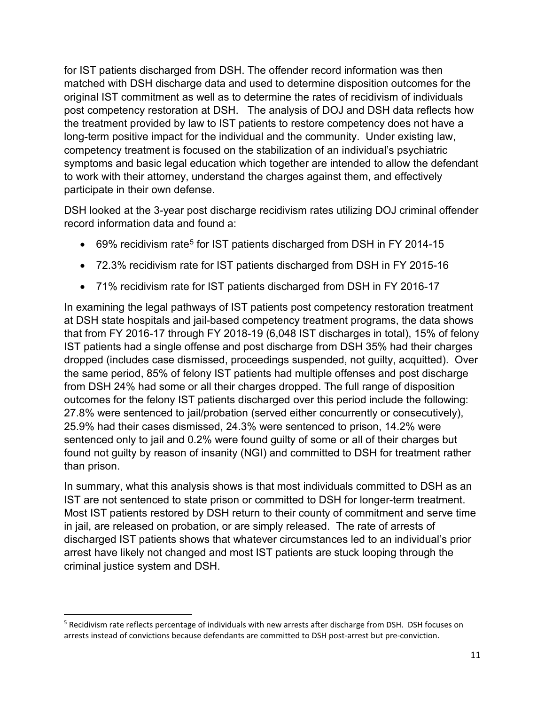for IST patients discharged from DSH. The offender record information was then matched with DSH discharge data and used to determine disposition outcomes for the original IST commitment as well as to determine the rates of recidivism of individuals post competency restoration at DSH. The analysis of DOJ and DSH data reflects how the treatment provided by law to IST patients to restore competency does not have a long-term positive impact for the individual and the community. Under existing law, competency treatment is focused on the stabilization of an individual's psychiatric symptoms and basic legal education which together are intended to allow the defendant to work with their attorney, understand the charges against them, and effectively participate in their own defense.

DSH looked at the 3-year post discharge recidivism rates utilizing DOJ criminal offender record information data and found a:

- 69% recidivism rate<sup>5</sup> for IST patients discharged from DSH in FY 2014-15
- 72.3% recidivism rate for IST patients discharged from DSH in FY 2015-16
- 71% recidivism rate for IST patients discharged from DSH in FY 2016-17

In examining the legal pathways of IST patients post competency restoration treatment at DSH state hospitals and jail-based competency treatment programs, the data shows that from FY 2016-17 through FY 2018-19 (6,048 IST discharges in total), 15% of felony IST patients had a single offense and post discharge from DSH 35% had their charges dropped (includes case dismissed, proceedings suspended, not guilty, acquitted). Over the same period, 85% of felony IST patients had multiple offenses and post discharge from DSH 24% had some or all their charges dropped. The full range of disposition outcomes for the felony IST patients discharged over this period include the following: 27.8% were sentenced to jail/probation (served either concurrently or consecutively), 25.9% had their cases dismissed, 24.3% were sentenced to prison, 14.2% were sentenced only to jail and 0.2% were found guilty of some or all of their charges but found not guilty by reason of insanity (NGI) and committed to DSH for treatment rather than prison.

In summary, what this analysis shows is that most individuals committed to DSH as an IST are not sentenced to state prison or committed to DSH for longer-term treatment. Most IST patients restored by DSH return to their county of commitment and serve time in jail, are released on probation, or are simply released. The rate of arrests of discharged IST patients shows that whatever circumstances led to an individual's prior arrest have likely not changed and most IST patients are stuck looping through the criminal justice system and DSH.

<sup>&</sup>lt;sup>5</sup> Recidivism rate reflects percentage of individuals with new arrests after discharge from DSH. DSH focuses on arrests instead of convictions because defendants are committed to DSH post-arrest but pre-conviction.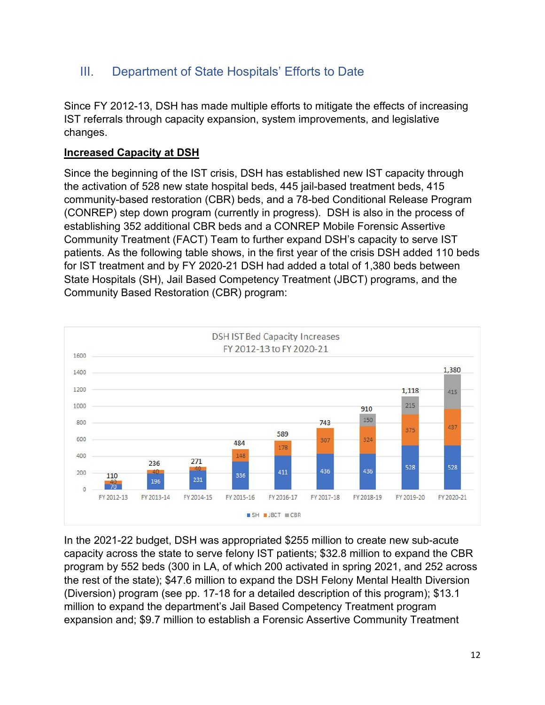# III. Department of State Hospitals' Efforts to Date

Since FY 2012-13, DSH has made multiple efforts to mitigate the effects of increasing IST referrals through capacity expansion, system improvements, and legislative changes.

### **Increased Capacity at DSH**

Since the beginning of the IST crisis, DSH has established new IST capacity through the activation of 528 new state hospital beds, 445 jail-based treatment beds, 415 community-based restoration (CBR) beds, and a 78-bed Conditional Release Program (CONREP) step down program (currently in progress). DSH is also in the process of establishing 352 additional CBR beds and a CONREP Mobile Forensic Assertive Community Treatment (FACT) Team to further expand DSH's capacity to serve IST patients. As the following table shows, in the first year of the crisis DSH added 110 beds for IST treatment and by FY 2020-21 DSH had added a total of 1,380 beds between State Hospitals (SH), Jail Based Competency Treatment (JBCT) programs, and the Community Based Restoration (CBR) program:



In the 2021-22 budget, DSH was appropriated \$255 million to create new sub-acute capacity across the state to serve felony IST patients; \$32.8 million to expand the CBR program by 552 beds (300 in LA, of which 200 activated in spring 2021, and 252 across the rest of the state); \$47.6 million to expand the DSH Felony Mental Health Diversion (Diversion) program (see pp. 17-18 for a detailed description of this program); \$13.1 million to expand the department's Jail Based Competency Treatment program expansion and; \$9.7 million to establish a Forensic Assertive Community Treatment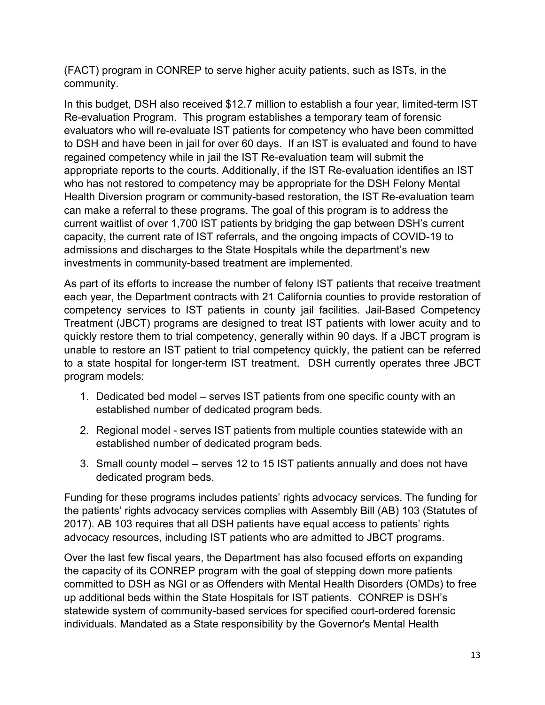(FACT) program in CONREP to serve higher acuity patients, such as ISTs, in the community.

In this budget, DSH also received \$12.7 million to establish a four year, limited-term IST Re-evaluation Program. This program establishes a temporary team of forensic evaluators who will re-evaluate IST patients for competency who have been committed to DSH and have been in jail for over 60 days. If an IST is evaluated and found to have regained competency while in jail the IST Re-evaluation team will submit the appropriate reports to the courts. Additionally, if the IST Re-evaluation identifies an IST who has not restored to competency may be appropriate for the DSH Felony Mental Health Diversion program or community-based restoration, the IST Re-evaluation team can make a referral to these programs. The goal of this program is to address the current waitlist of over 1,700 IST patients by bridging the gap between DSH's current capacity, the current rate of IST referrals, and the ongoing impacts of COVID-19 to admissions and discharges to the State Hospitals while the department's new investments in community-based treatment are implemented.

As part of its efforts to increase the number of felony IST patients that receive treatment each year, the Department contracts with 21 California counties to provide restoration of competency services to IST patients in county jail facilities. Jail-Based Competency Treatment (JBCT) programs are designed to treat IST patients with lower acuity and to quickly restore them to trial competency, generally within 90 days. If a JBCT program is unable to restore an IST patient to trial competency quickly, the patient can be referred to a state hospital for longer-term IST treatment. DSH currently operates three JBCT program models:

- 1. Dedicated bed model serves IST patients from one specific county with an established number of dedicated program beds.
- 2. Regional model serves IST patients from multiple counties statewide with an established number of dedicated program beds.
- 3. Small county model serves 12 to 15 IST patients annually and does not have dedicated program beds.

Funding for these programs includes patients' rights advocacy services. The funding for the patients' rights advocacy services complies with Assembly Bill (AB) 103 (Statutes of 2017). AB 103 requires that all DSH patients have equal access to patients' rights advocacy resources, including IST patients who are admitted to JBCT programs.

Over the last few fiscal years, the Department has also focused efforts on expanding the capacity of its CONREP program with the goal of stepping down more patients committed to DSH as NGI or as Offenders with Mental Health Disorders (OMDs) to free up additional beds within the State Hospitals for IST patients. CONREP is DSH's statewide system of community-based services for specified court-ordered forensic individuals. Mandated as a State responsibility by the Governor's Mental Health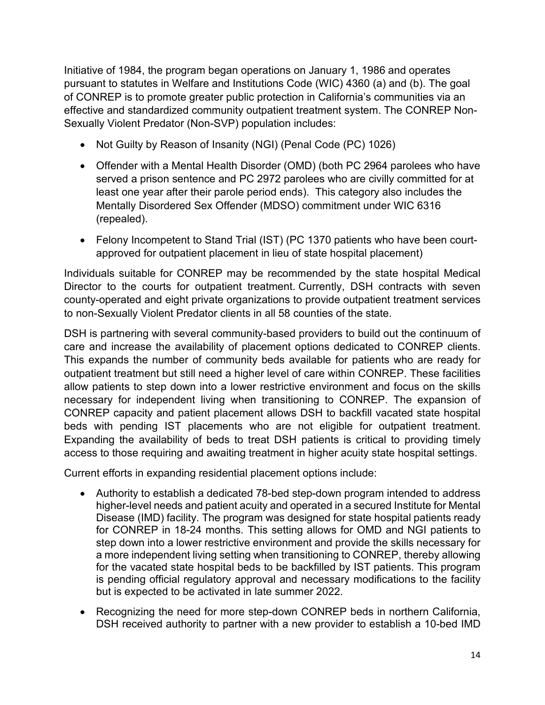Initiative of 1984, the program began operations on January 1, 1986 and operates pursuant to statutes in Welfare and Institutions Code (WIC) 4360 (a) and (b). The goal of CONREP is to promote greater public protection in California's communities via an effective and standardized community outpatient treatment system. The CONREP Non-Sexually Violent Predator (Non-SVP) population includes:

- Not Guilty by Reason of Insanity (NGI) (Penal Code (PC) 1026)
- Offender with a Mental Health Disorder (OMD) (both PC 2964 parolees who have served a prison sentence and PC 2972 parolees who are civilly committed for at least one year after their parole period ends). This category also includes the Mentally Disordered Sex Offender (MDSO) commitment under WIC 6316 (repealed).
- Felony Incompetent to Stand Trial (IST) (PC 1370 patients who have been courtapproved for outpatient placement in lieu of state hospital placement)

Individuals suitable for CONREP may be recommended by the state hospital Medical Director to the courts for outpatient treatment. Currently, DSH contracts with seven county-operated and eight private organizations to provide outpatient treatment services to non-Sexually Violent Predator clients in all 58 counties of the state.

DSH is partnering with several community-based providers to build out the continuum of care and increase the availability of placement options dedicated to CONREP clients. This expands the number of community beds available for patients who are ready for outpatient treatment but still need a higher level of care within CONREP. These facilities allow patients to step down into a lower restrictive environment and focus on the skills necessary for independent living when transitioning to CONREP. The expansion of CONREP capacity and patient placement allows DSH to backfill vacated state hospital beds with pending IST placements who are not eligible for outpatient treatment. Expanding the availability of beds to treat DSH patients is critical to providing timely access to those requiring and awaiting treatment in higher acuity state hospital settings.

Current efforts in expanding residential placement options include:

- Authority to establish a dedicated 78-bed step-down program intended to address higher-level needs and patient acuity and operated in a secured Institute for Mental Disease (IMD) facility. The program was designed for state hospital patients ready for CONREP in 18-24 months. This setting allows for OMD and NGI patients to step down into a lower restrictive environment and provide the skills necessary for a more independent living setting when transitioning to CONREP, thereby allowing for the vacated state hospital beds to be backfilled by IST patients. This program is pending official regulatory approval and necessary modifications to the facility but is expected to be activated in late summer 2022.
- Recognizing the need for more step-down CONREP beds in northern California, DSH received authority to partner with a new provider to establish a 10-bed IMD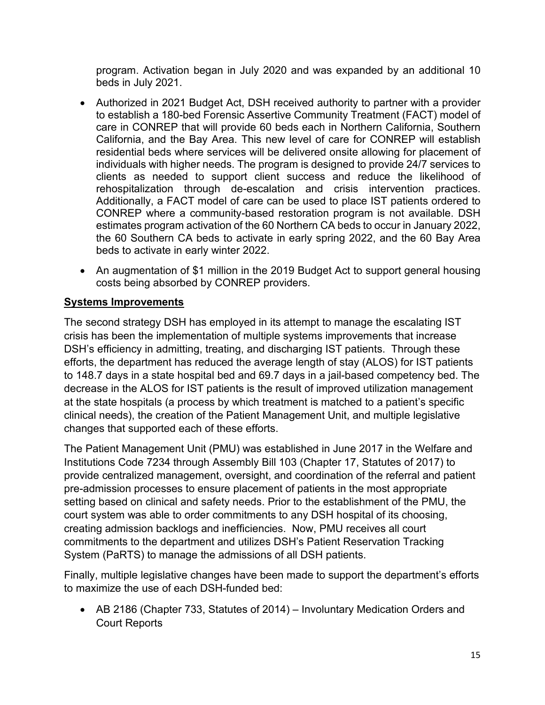program. Activation began in July 2020 and was expanded by an additional 10 beds in July 2021.

- Authorized in 2021 Budget Act, DSH received authority to partner with a provider to establish a 180-bed Forensic Assertive Community Treatment (FACT) model of care in CONREP that will provide 60 beds each in Northern California, Southern California, and the Bay Area. This new level of care for CONREP will establish residential beds where services will be delivered onsite allowing for placement of individuals with higher needs. The program is designed to provide 24/7 services to clients as needed to support client success and reduce the likelihood of rehospitalization through de-escalation and crisis intervention practices. Additionally, a FACT model of care can be used to place IST patients ordered to CONREP where a community-based restoration program is not available. DSH estimates program activation of the 60 Northern CA beds to occur in January 2022, the 60 Southern CA beds to activate in early spring 2022, and the 60 Bay Area beds to activate in early winter 2022.
- An augmentation of \$1 million in the 2019 Budget Act to support general housing costs being absorbed by CONREP providers.

### **Systems Improvements**

The second strategy DSH has employed in its attempt to manage the escalating IST crisis has been the implementation of multiple systems improvements that increase DSH's efficiency in admitting, treating, and discharging IST patients. Through these efforts, the department has reduced the average length of stay (ALOS) for IST patients to 148.7 days in a state hospital bed and 69.7 days in a jail-based competency bed. The decrease in the ALOS for IST patients is the result of improved utilization management at the state hospitals (a process by which treatment is matched to a patient's specific clinical needs), the creation of the Patient Management Unit, and multiple legislative changes that supported each of these efforts.

The Patient Management Unit (PMU) was established in June 2017 in the Welfare and Institutions Code 7234 through Assembly Bill 103 (Chapter 17, Statutes of 2017) to provide centralized management, oversight, and coordination of the referral and patient pre-admission processes to ensure placement of patients in the most appropriate setting based on clinical and safety needs. Prior to the establishment of the PMU, the court system was able to order commitments to any DSH hospital of its choosing, creating admission backlogs and inefficiencies. Now, PMU receives all court commitments to the department and utilizes DSH's Patient Reservation Tracking System (PaRTS) to manage the admissions of all DSH patients.

Finally, multiple legislative changes have been made to support the department's efforts to maximize the use of each DSH-funded bed:

• AB 2186 (Chapter 733, Statutes of 2014) – Involuntary Medication Orders and Court Reports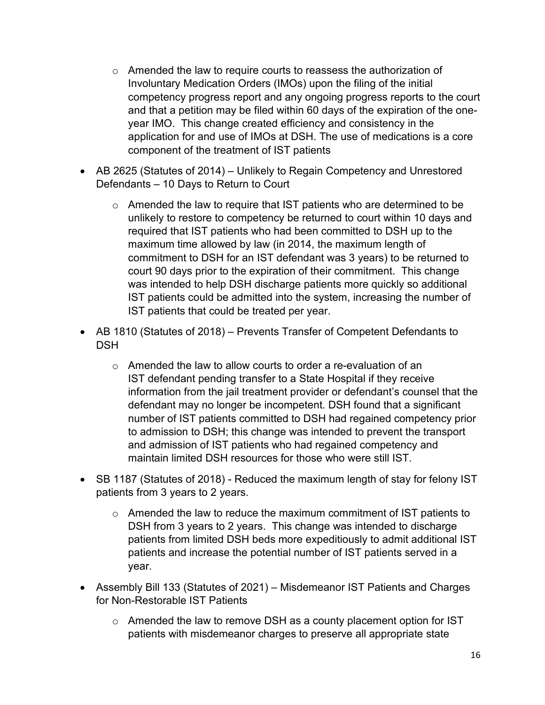- o Amended the law to require courts to reassess the authorization of Involuntary Medication Orders (IMOs) upon the filing of the initial competency progress report and any ongoing progress reports to the court and that a petition may be filed within 60 days of the expiration of the oneyear IMO. This change created efficiency and consistency in the application for and use of IMOs at DSH. The use of medications is a core component of the treatment of IST patients
- AB 2625 (Statutes of 2014) Unlikely to Regain Competency and Unrestored Defendants – 10 Days to Return to Court
	- $\circ$  Amended the law to require that IST patients who are determined to be unlikely to restore to competency be returned to court within 10 days and required that IST patients who had been committed to DSH up to the maximum time allowed by law (in 2014, the maximum length of commitment to DSH for an IST defendant was 3 years) to be returned to court 90 days prior to the expiration of their commitment. This change was intended to help DSH discharge patients more quickly so additional IST patients could be admitted into the system, increasing the number of IST patients that could be treated per year.
- AB 1810 (Statutes of 2018) Prevents Transfer of Competent Defendants to **DSH** 
	- o Amended the law to allow courts to order a re-evaluation of an IST defendant pending transfer to a State Hospital if they receive information from the jail treatment provider or defendant's counsel that the defendant may no longer be incompetent. DSH found that a significant number of IST patients committed to DSH had regained competency prior to admission to DSH; this change was intended to prevent the transport and admission of IST patients who had regained competency and maintain limited DSH resources for those who were still IST.
- SB 1187 (Statutes of 2018) Reduced the maximum length of stay for felony IST patients from 3 years to 2 years.
	- $\circ$  Amended the law to reduce the maximum commitment of IST patients to DSH from 3 years to 2 years. This change was intended to discharge patients from limited DSH beds more expeditiously to admit additional IST patients and increase the potential number of IST patients served in a year.
- Assembly Bill 133 (Statutes of 2021) Misdemeanor IST Patients and Charges for Non-Restorable IST Patients
	- $\circ$  Amended the law to remove DSH as a county placement option for IST patients with misdemeanor charges to preserve all appropriate state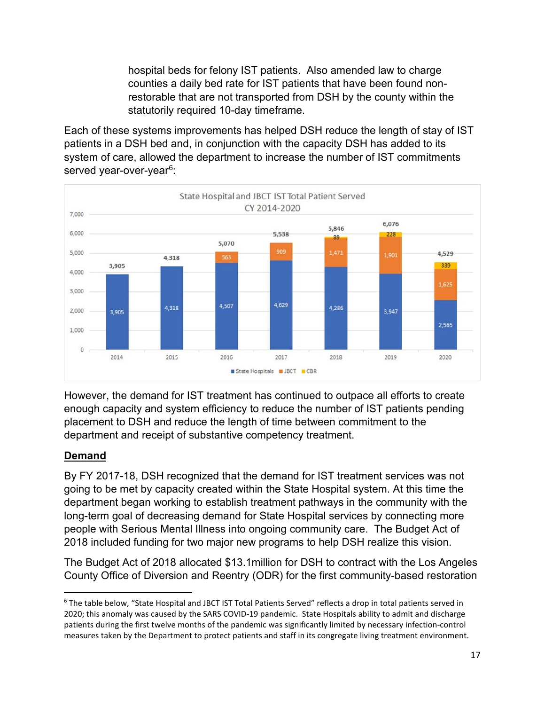hospital beds for felony IST patients. Also amended law to charge counties a daily bed rate for IST patients that have been found nonrestorable that are not transported from DSH by the county within the statutorily required 10-day timeframe.

Each of these systems improvements has helped DSH reduce the length of stay of IST patients in a DSH bed and, in conjunction with the capacity DSH has added to its system of care, allowed the department to increase the number of IST commitments served year-over-year<sup>6</sup>:



However, the demand for IST treatment has continued to outpace all efforts to create enough capacity and system efficiency to reduce the number of IST patients pending placement to DSH and reduce the length of time between commitment to the department and receipt of substantive competency treatment.

### **Demand**

By FY 2017-18, DSH recognized that the demand for IST treatment services was not going to be met by capacity created within the State Hospital system. At this time the department began working to establish treatment pathways in the community with the long-term goal of decreasing demand for State Hospital services by connecting more people with Serious Mental Illness into ongoing community care. The Budget Act of 2018 included funding for two major new programs to help DSH realize this vision.

The Budget Act of 2018 allocated \$13.1million for DSH to contract with the Los Angeles County Office of Diversion and Reentry (ODR) for the first community-based restoration

<sup>6</sup> The table below, "State Hospital and JBCT IST Total Patients Served" reflects a drop in total patients served in 2020; this anomaly was caused by the SARS COVID-19 pandemic. State Hospitals ability to admit and discharge patients during the first twelve months of the pandemic was significantly limited by necessary infection-control measures taken by the Department to protect patients and staff in its congregate living treatment environment.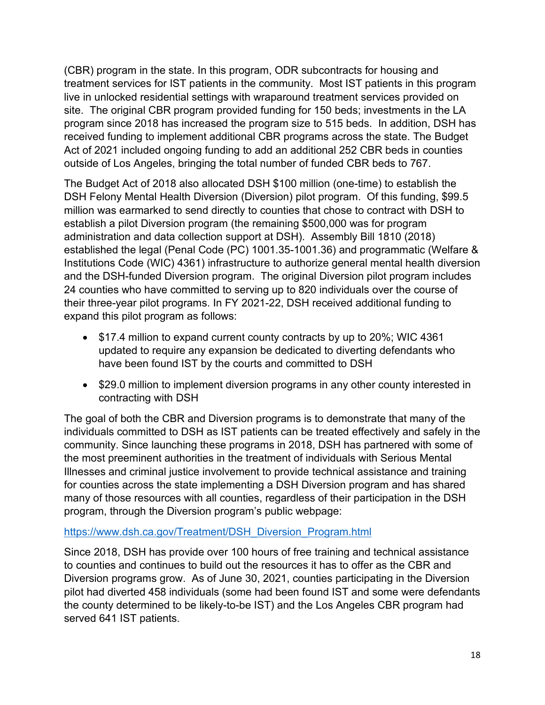(CBR) program in the state. In this program, ODR subcontracts for housing and treatment services for IST patients in the community. Most IST patients in this program live in unlocked residential settings with wraparound treatment services provided on site. The original CBR program provided funding for 150 beds; investments in the LA program since 2018 has increased the program size to 515 beds. In addition, DSH has received funding to implement additional CBR programs across the state. The Budget Act of 2021 included ongoing funding to add an additional 252 CBR beds in counties outside of Los Angeles, bringing the total number of funded CBR beds to 767.

The Budget Act of 2018 also allocated DSH \$100 million (one-time) to establish the DSH Felony Mental Health Diversion (Diversion) pilot program. Of this funding, \$99.5 million was earmarked to send directly to counties that chose to contract with DSH to establish a pilot Diversion program (the remaining \$500,000 was for program administration and data collection support at DSH). Assembly Bill 1810 (2018) established the legal (Penal Code (PC) 1001.35-1001.36) and programmatic (Welfare & Institutions Code (WIC) 4361) infrastructure to authorize general mental health diversion and the DSH-funded Diversion program. The original Diversion pilot program includes 24 counties who have committed to serving up to 820 individuals over the course of their three-year pilot programs. In FY 2021-22, DSH received additional funding to expand this pilot program as follows:

- \$17.4 million to expand current county contracts by up to 20%; WIC 4361 updated to require any expansion be dedicated to diverting defendants who have been found IST by the courts and committed to DSH
- \$29.0 million to implement diversion programs in any other county interested in contracting with DSH

The goal of both the CBR and Diversion programs is to demonstrate that many of the individuals committed to DSH as IST patients can be treated effectively and safely in the community. Since launching these programs in 2018, DSH has partnered with some of the most preeminent authorities in the treatment of individuals with Serious Mental Illnesses and criminal justice involvement to provide technical assistance and training for counties across the state implementing a DSH Diversion program and has shared many of those resources with all counties, regardless of their participation in the DSH program, through the Diversion program's public webpage:

#### https://www.dsh.ca.gov/Treatment/DSH\_Diversion\_Program.html

Since 2018, DSH has provide over 100 hours of free training and technical assistance to counties and continues to build out the resources it has to offer as the CBR and Diversion programs grow. As of June 30, 2021, counties participating in the Diversion pilot had diverted 458 individuals (some had been found IST and some were defendants the county determined to be likely-to-be IST) and the Los Angeles CBR program had served 641 IST patients.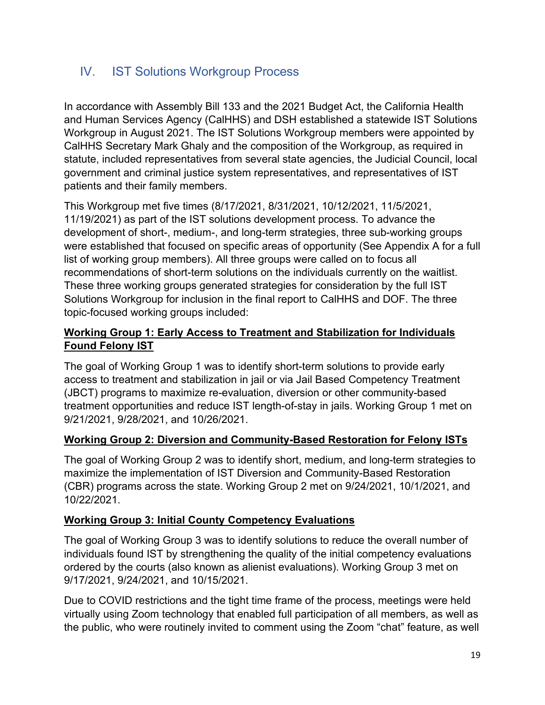# IV. IST Solutions Workgroup Process

In accordance with Assembly Bill 133 and the 2021 Budget Act, the California Health and Human Services Agency (CalHHS) and DSH established a statewide IST Solutions Workgroup in August 2021. The IST Solutions Workgroup members were appointed by CalHHS Secretary Mark Ghaly and the composition of the Workgroup, as required in statute, included representatives from several state agencies, the Judicial Council, local government and criminal justice system representatives, and representatives of IST patients and their family members.

This Workgroup met five times (8/17/2021, 8/31/2021, 10/12/2021, 11/5/2021, 11/19/2021) as part of the IST solutions development process. To advance the development of short-, medium-, and long-term strategies, three sub-working groups were established that focused on specific areas of opportunity (See Appendix A for a full list of working group members). All three groups were called on to focus all recommendations of short-term solutions on the individuals currently on the waitlist. These three working groups generated strategies for consideration by the full IST Solutions Workgroup for inclusion in the final report to CalHHS and DOF. The three topic-focused working groups included:

### **Working Group 1: Early Access to Treatment and Stabilization for Individuals Found Felony IST**

The goal of Working Group 1 was to identify short-term solutions to provide early access to treatment and stabilization in jail or via Jail Based Competency Treatment (JBCT) programs to maximize re-evaluation, diversion or other community-based treatment opportunities and reduce IST length-of-stay in jails. Working Group 1 met on 9/21/2021, 9/28/2021, and 10/26/2021.

### **Working Group 2: Diversion and Community-Based Restoration for Felony ISTs**

The goal of Working Group 2 was to identify short, medium, and long-term strategies to maximize the implementation of IST Diversion and Community-Based Restoration (CBR) programs across the state. Working Group 2 met on 9/24/2021, 10/1/2021, and 10/22/2021.

#### **Working Group 3: Initial County Competency Evaluations**

The goal of Working Group 3 was to identify solutions to reduce the overall number of individuals found IST by strengthening the quality of the initial competency evaluations ordered by the courts (also known as alienist evaluations). Working Group 3 met on 9/17/2021, 9/24/2021, and 10/15/2021.

Due to COVID restrictions and the tight time frame of the process, meetings were held virtually using Zoom technology that enabled full participation of all members, as well as the public, who were routinely invited to comment using the Zoom "chat" feature, as well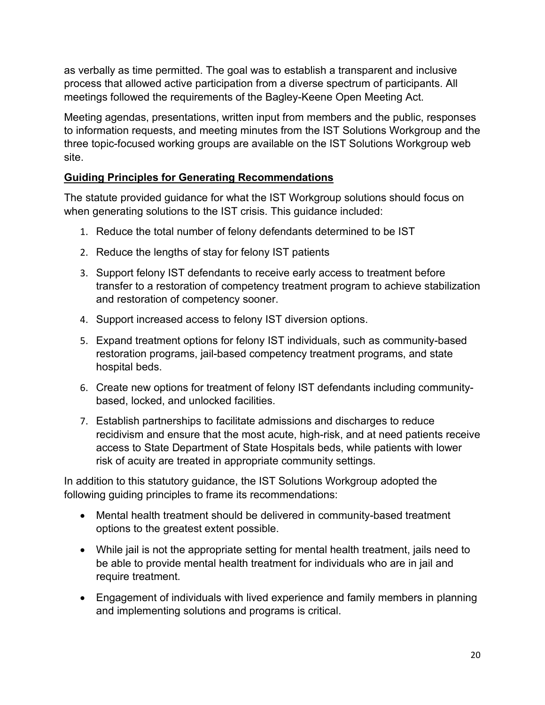as verbally as time permitted. The goal was to establish a transparent and inclusive process that allowed active participation from a diverse spectrum of participants. All meetings followed the requirements of the Bagley-Keene Open Meeting Act.

Meeting agendas, presentations, written input from members and the public, responses to information requests, and meeting minutes from the IST Solutions Workgroup and the three topic-focused working groups are available on the IST Solutions Workgroup web site.

### **Guiding Principles for Generating Recommendations**

The statute provided guidance for what the IST Workgroup solutions should focus on when generating solutions to the IST crisis. This guidance included:

- 1. Reduce the total number of felony defendants determined to be IST
- 2. Reduce the lengths of stay for felony IST patients
- 3. Support felony IST defendants to receive early access to treatment before transfer to a restoration of competency treatment program to achieve stabilization and restoration of competency sooner.
- 4. Support increased access to felony IST diversion options.
- 5. Expand treatment options for felony IST individuals, such as community-based restoration programs, jail-based competency treatment programs, and state hospital beds.
- 6. Create new options for treatment of felony IST defendants including communitybased, locked, and unlocked facilities.
- 7. Establish partnerships to facilitate admissions and discharges to reduce recidivism and ensure that the most acute, high-risk, and at need patients receive access to State Department of State Hospitals beds, while patients with lower risk of acuity are treated in appropriate community settings.

In addition to this statutory guidance, the IST Solutions Workgroup adopted the following guiding principles to frame its recommendations:

- Mental health treatment should be delivered in community-based treatment options to the greatest extent possible.
- While jail is not the appropriate setting for mental health treatment, jails need to be able to provide mental health treatment for individuals who are in jail and require treatment.
- Engagement of individuals with lived experience and family members in planning and implementing solutions and programs is critical.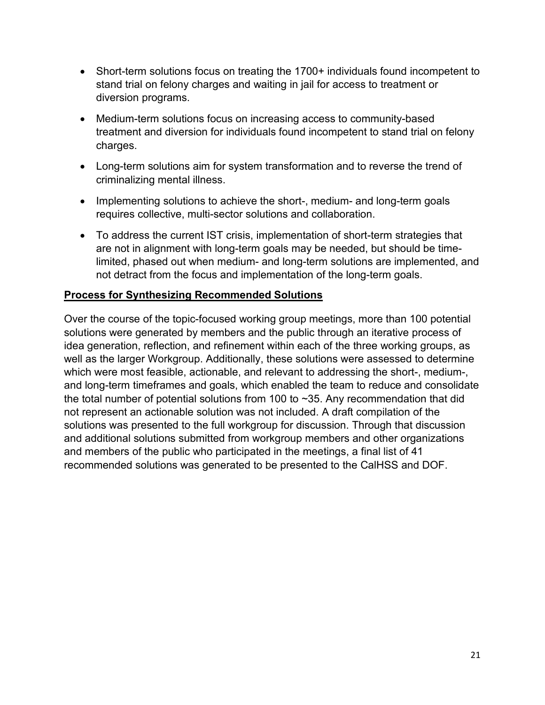- Short-term solutions focus on treating the 1700+ individuals found incompetent to stand trial on felony charges and waiting in jail for access to treatment or diversion programs.
- Medium-term solutions focus on increasing access to community-based treatment and diversion for individuals found incompetent to stand trial on felony charges.
- Long-term solutions aim for system transformation and to reverse the trend of criminalizing mental illness.
- Implementing solutions to achieve the short-, medium- and long-term goals requires collective, multi-sector solutions and collaboration.
- To address the current IST crisis, implementation of short-term strategies that are not in alignment with long-term goals may be needed, but should be timelimited, phased out when medium- and long-term solutions are implemented, and not detract from the focus and implementation of the long-term goals.

#### **Process for Synthesizing Recommended Solutions**

Over the course of the topic-focused working group meetings, more than 100 potential solutions were generated by members and the public through an iterative process of idea generation, reflection, and refinement within each of the three working groups, as well as the larger Workgroup. Additionally, these solutions were assessed to determine which were most feasible, actionable, and relevant to addressing the short-, medium-, and long-term timeframes and goals, which enabled the team to reduce and consolidate the total number of potential solutions from 100 to ~35. Any recommendation that did not represent an actionable solution was not included. A draft compilation of the solutions was presented to the full workgroup for discussion. Through that discussion and additional solutions submitted from workgroup members and other organizations and members of the public who participated in the meetings, a final list of 41 recommended solutions was generated to be presented to the CalHSS and DOF.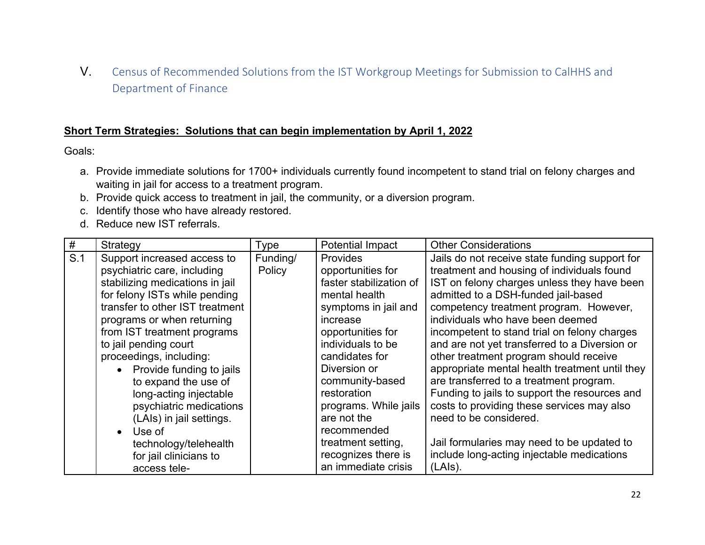V. Census of Recommended Solutions from the IST Workgroup Meetings for Submission to CalHHS and Department of Finance

#### **Short Term Strategies: Solutions that can begin implementation by April 1, 2022**

Goals:

- a. Provide immediate solutions for 1700+ individuals currently found incompetent to stand trial on felony charges and waiting in jail for access to a treatment program.
- b. Provide quick access to treatment in jail, the community, or a diversion program.
- c. Identify those who have already restored.
- d. Reduce new IST referrals.

| #   | Strategy                                                                                                                                                                                                                                                                                                                                                                                                                                                                                             | Type               | <b>Potential Impact</b>                                                                                                                                                                                                                                                                                                                                       | <b>Other Considerations</b>                                                                                                                                                                                                                                                                                                                                                                                                                                                                                                                                                                                                                                                                                                              |
|-----|------------------------------------------------------------------------------------------------------------------------------------------------------------------------------------------------------------------------------------------------------------------------------------------------------------------------------------------------------------------------------------------------------------------------------------------------------------------------------------------------------|--------------------|---------------------------------------------------------------------------------------------------------------------------------------------------------------------------------------------------------------------------------------------------------------------------------------------------------------------------------------------------------------|------------------------------------------------------------------------------------------------------------------------------------------------------------------------------------------------------------------------------------------------------------------------------------------------------------------------------------------------------------------------------------------------------------------------------------------------------------------------------------------------------------------------------------------------------------------------------------------------------------------------------------------------------------------------------------------------------------------------------------------|
| S.1 | Support increased access to<br>psychiatric care, including<br>stabilizing medications in jail<br>for felony ISTs while pending<br>transfer to other IST treatment<br>programs or when returning<br>from IST treatment programs<br>to jail pending court<br>proceedings, including:<br>Provide funding to jails<br>to expand the use of<br>long-acting injectable<br>psychiatric medications<br>(LAIs) in jail settings.<br>Use of<br>technology/telehealth<br>for jail clinicians to<br>access tele- | Funding/<br>Policy | <b>Provides</b><br>opportunities for<br>faster stabilization of<br>mental health<br>symptoms in jail and<br>increase<br>opportunities for<br>individuals to be<br>candidates for<br>Diversion or<br>community-based<br>restoration<br>programs. While jails<br>are not the<br>recommended<br>treatment setting,<br>recognizes there is<br>an immediate crisis | Jails do not receive state funding support for<br>treatment and housing of individuals found<br>IST on felony charges unless they have been<br>admitted to a DSH-funded jail-based<br>competency treatment program. However,<br>individuals who have been deemed<br>incompetent to stand trial on felony charges<br>and are not yet transferred to a Diversion or<br>other treatment program should receive<br>appropriate mental health treatment until they<br>are transferred to a treatment program.<br>Funding to jails to support the resources and<br>costs to providing these services may also<br>need to be considered.<br>Jail formularies may need to be updated to<br>include long-acting injectable medications<br>(LAIs). |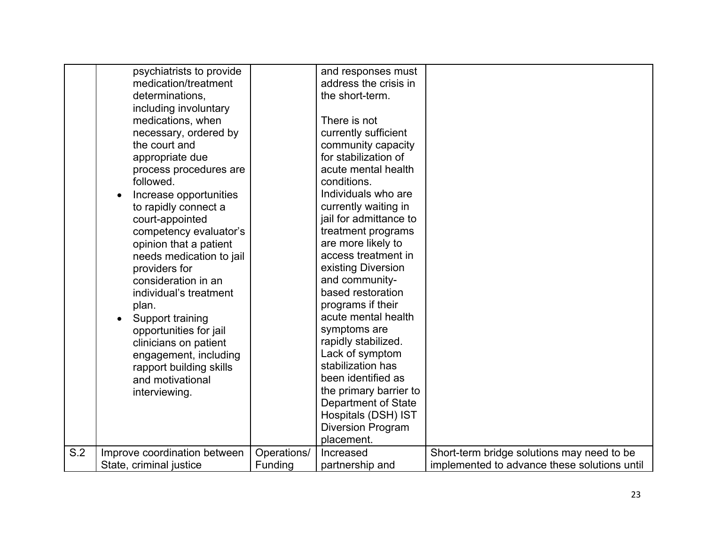|     | psychiatrists to provide     |             | and responses must       |                                              |
|-----|------------------------------|-------------|--------------------------|----------------------------------------------|
|     | medication/treatment         |             | address the crisis in    |                                              |
|     | determinations,              |             | the short-term.          |                                              |
|     | including involuntary        |             |                          |                                              |
|     | medications, when            |             | There is not             |                                              |
|     | necessary, ordered by        |             | currently sufficient     |                                              |
|     | the court and                |             | community capacity       |                                              |
|     | appropriate due              |             | for stabilization of     |                                              |
|     | process procedures are       |             | acute mental health      |                                              |
|     | followed.                    |             | conditions.              |                                              |
|     | Increase opportunities       |             | Individuals who are      |                                              |
|     | to rapidly connect a         |             | currently waiting in     |                                              |
|     | court-appointed              |             | jail for admittance to   |                                              |
|     | competency evaluator's       |             | treatment programs       |                                              |
|     | opinion that a patient       |             | are more likely to       |                                              |
|     | needs medication to jail     |             | access treatment in      |                                              |
|     | providers for                |             | existing Diversion       |                                              |
|     | consideration in an          |             | and community-           |                                              |
|     | individual's treatment       |             | based restoration        |                                              |
|     | plan.                        |             | programs if their        |                                              |
|     | Support training             |             | acute mental health      |                                              |
|     | opportunities for jail       |             | symptoms are             |                                              |
|     | clinicians on patient        |             | rapidly stabilized.      |                                              |
|     | engagement, including        |             | Lack of symptom          |                                              |
|     | rapport building skills      |             | stabilization has        |                                              |
|     | and motivational             |             | been identified as       |                                              |
|     | interviewing.                |             | the primary barrier to   |                                              |
|     |                              |             | Department of State      |                                              |
|     |                              |             | Hospitals (DSH) IST      |                                              |
|     |                              |             | <b>Diversion Program</b> |                                              |
|     |                              |             | placement.               |                                              |
| S.2 | Improve coordination between | Operations/ | Increased                | Short-term bridge solutions may need to be   |
|     | State, criminal justice      | Funding     | partnership and          | implemented to advance these solutions until |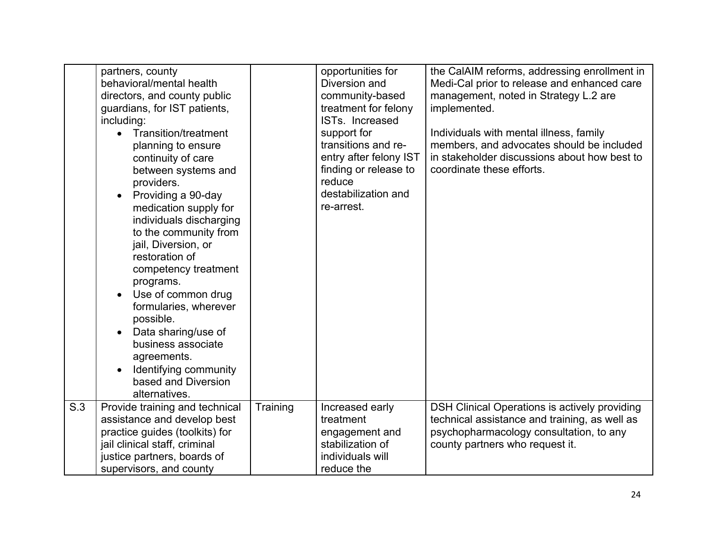|     | partners, county<br>behavioral/mental health<br>directors, and county public<br>guardians, for IST patients,<br>including:<br><b>Transition/treatment</b><br>planning to ensure<br>continuity of care<br>between systems and<br>providers.<br>Providing a 90-day<br>medication supply for<br>individuals discharging<br>to the community from<br>jail, Diversion, or<br>restoration of<br>competency treatment<br>programs.<br>Use of common drug<br>formularies, wherever<br>possible.<br>Data sharing/use of<br>business associate<br>agreements.<br>Identifying community<br>based and Diversion<br>alternatives. |          | opportunities for<br>Diversion and<br>community-based<br>treatment for felony<br>ISTs. Increased<br>support for<br>transitions and re-<br>entry after felony IST<br>finding or release to<br>reduce<br>destabilization and<br>re-arrest. | the CalAIM reforms, addressing enrollment in<br>Medi-Cal prior to release and enhanced care<br>management, noted in Strategy L.2 are<br>implemented.<br>Individuals with mental illness, family<br>members, and advocates should be included<br>in stakeholder discussions about how best to<br>coordinate these efforts. |
|-----|----------------------------------------------------------------------------------------------------------------------------------------------------------------------------------------------------------------------------------------------------------------------------------------------------------------------------------------------------------------------------------------------------------------------------------------------------------------------------------------------------------------------------------------------------------------------------------------------------------------------|----------|------------------------------------------------------------------------------------------------------------------------------------------------------------------------------------------------------------------------------------------|---------------------------------------------------------------------------------------------------------------------------------------------------------------------------------------------------------------------------------------------------------------------------------------------------------------------------|
| S.3 | Provide training and technical<br>assistance and develop best<br>practice guides (toolkits) for<br>jail clinical staff, criminal<br>justice partners, boards of<br>supervisors, and county                                                                                                                                                                                                                                                                                                                                                                                                                           | Training | Increased early<br>treatment<br>engagement and<br>stabilization of<br>individuals will<br>reduce the                                                                                                                                     | DSH Clinical Operations is actively providing<br>technical assistance and training, as well as<br>psychopharmacology consultation, to any<br>county partners who request it.                                                                                                                                              |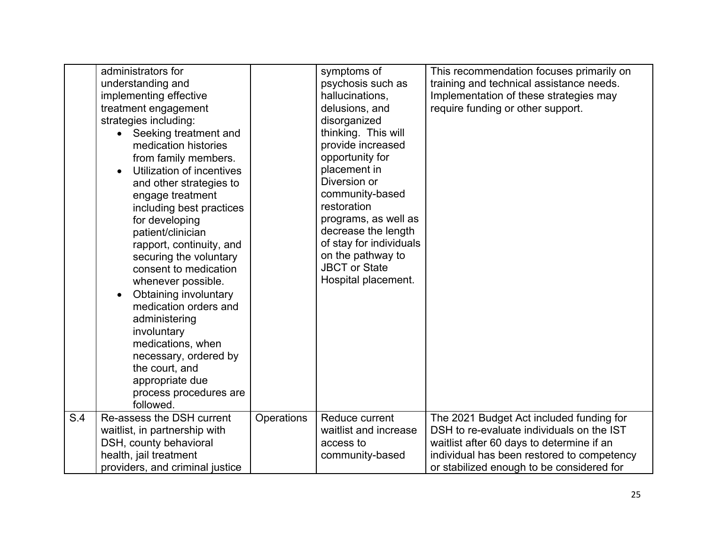|     | administrators for<br>understanding and<br>implementing effective<br>treatment engagement<br>strategies including:<br>Seeking treatment and<br>medication histories<br>from family members.<br>Utilization of incentives<br>and other strategies to<br>engage treatment<br>including best practices<br>for developing<br>patient/clinician<br>rapport, continuity, and<br>securing the voluntary<br>consent to medication<br>whenever possible.<br>Obtaining involuntary<br>medication orders and<br>administering<br>involuntary<br>medications, when<br>necessary, ordered by<br>the court, and<br>appropriate due<br>process procedures are<br>followed. |            | symptoms of<br>psychosis such as<br>hallucinations,<br>delusions, and<br>disorganized<br>thinking. This will<br>provide increased<br>opportunity for<br>placement in<br>Diversion or<br>community-based<br>restoration<br>programs, as well as<br>decrease the length<br>of stay for individuals<br>on the pathway to<br><b>JBCT or State</b><br>Hospital placement. | This recommendation focuses primarily on<br>training and technical assistance needs.<br>Implementation of these strategies may<br>require funding or other support.                                                           |
|-----|-------------------------------------------------------------------------------------------------------------------------------------------------------------------------------------------------------------------------------------------------------------------------------------------------------------------------------------------------------------------------------------------------------------------------------------------------------------------------------------------------------------------------------------------------------------------------------------------------------------------------------------------------------------|------------|----------------------------------------------------------------------------------------------------------------------------------------------------------------------------------------------------------------------------------------------------------------------------------------------------------------------------------------------------------------------|-------------------------------------------------------------------------------------------------------------------------------------------------------------------------------------------------------------------------------|
| S.4 | Re-assess the DSH current<br>waitlist, in partnership with<br>DSH, county behavioral<br>health, jail treatment<br>providers, and criminal justice                                                                                                                                                                                                                                                                                                                                                                                                                                                                                                           | Operations | Reduce current<br>waitlist and increase<br>access to<br>community-based                                                                                                                                                                                                                                                                                              | The 2021 Budget Act included funding for<br>DSH to re-evaluate individuals on the IST<br>waitlist after 60 days to determine if an<br>individual has been restored to competency<br>or stabilized enough to be considered for |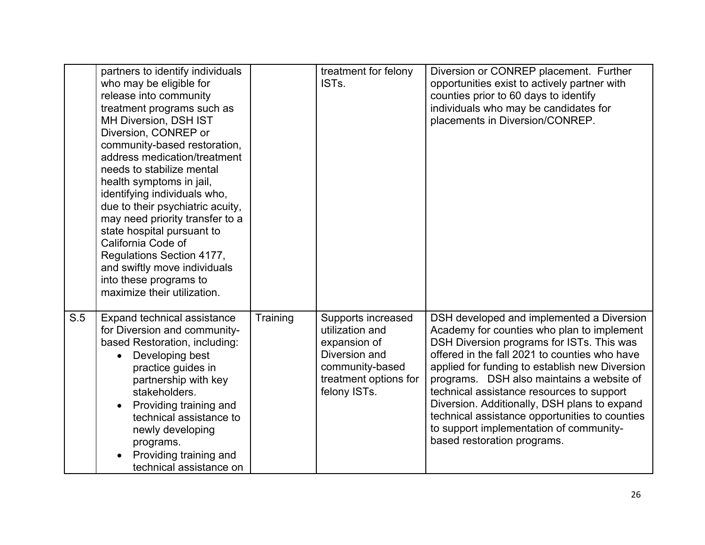|     | partners to identify individuals<br>who may be eligible for<br>release into community<br>treatment programs such as<br><b>MH Diversion, DSH IST</b><br>Diversion, CONREP or<br>community-based restoration,<br>address medication/treatment<br>needs to stabilize mental<br>health symptoms in jail,<br>identifying individuals who,<br>due to their psychiatric acuity,<br>may need priority transfer to a<br>state hospital pursuant to<br>California Code of<br>Regulations Section 4177,<br>and swiftly move individuals<br>into these programs to<br>maximize their utilization. |          | treatment for felony<br>IST <sub>s.</sub>                                                                                          | Diversion or CONREP placement. Further<br>opportunities exist to actively partner with<br>counties prior to 60 days to identify<br>individuals who may be candidates for<br>placements in Diversion/CONREP.                                                                                                                                                                                                                                                                                                   |
|-----|---------------------------------------------------------------------------------------------------------------------------------------------------------------------------------------------------------------------------------------------------------------------------------------------------------------------------------------------------------------------------------------------------------------------------------------------------------------------------------------------------------------------------------------------------------------------------------------|----------|------------------------------------------------------------------------------------------------------------------------------------|---------------------------------------------------------------------------------------------------------------------------------------------------------------------------------------------------------------------------------------------------------------------------------------------------------------------------------------------------------------------------------------------------------------------------------------------------------------------------------------------------------------|
| S.5 | Expand technical assistance<br>for Diversion and community-<br>based Restoration, including:<br>Developing best<br>practice guides in<br>partnership with key<br>stakeholders.<br>Providing training and<br>technical assistance to<br>newly developing<br>programs.<br>Providing training and<br>technical assistance on                                                                                                                                                                                                                                                             | Training | Supports increased<br>utilization and<br>expansion of<br>Diversion and<br>community-based<br>treatment options for<br>felony ISTs. | DSH developed and implemented a Diversion<br>Academy for counties who plan to implement<br>DSH Diversion programs for ISTs. This was<br>offered in the fall 2021 to counties who have<br>applied for funding to establish new Diversion<br>programs. DSH also maintains a website of<br>technical assistance resources to support<br>Diversion. Additionally, DSH plans to expand<br>technical assistance opportunities to counties<br>to support implementation of community-<br>based restoration programs. |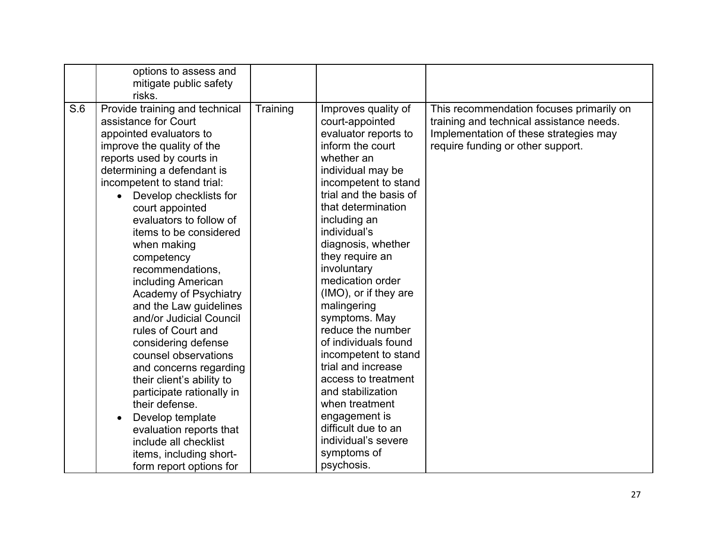|     | options to assess and<br>mitigate public safety<br>risks.                                                                                                                                                                                                                                                                                                                                                                                                                                                                                                                                                                                                                                                                                      |          |                                                                                                                                                                                                                                                                                                                                                                                                                                                                                                                                                                                                                         |                                                                                                                                                                     |
|-----|------------------------------------------------------------------------------------------------------------------------------------------------------------------------------------------------------------------------------------------------------------------------------------------------------------------------------------------------------------------------------------------------------------------------------------------------------------------------------------------------------------------------------------------------------------------------------------------------------------------------------------------------------------------------------------------------------------------------------------------------|----------|-------------------------------------------------------------------------------------------------------------------------------------------------------------------------------------------------------------------------------------------------------------------------------------------------------------------------------------------------------------------------------------------------------------------------------------------------------------------------------------------------------------------------------------------------------------------------------------------------------------------------|---------------------------------------------------------------------------------------------------------------------------------------------------------------------|
| S.6 | Provide training and technical<br>assistance for Court<br>appointed evaluators to<br>improve the quality of the<br>reports used by courts in<br>determining a defendant is<br>incompetent to stand trial:<br>Develop checklists for<br>court appointed<br>evaluators to follow of<br>items to be considered<br>when making<br>competency<br>recommendations,<br>including American<br>Academy of Psychiatry<br>and the Law guidelines<br>and/or Judicial Council<br>rules of Court and<br>considering defense<br>counsel observations<br>and concerns regarding<br>their client's ability to<br>participate rationally in<br>their defense.<br>Develop template<br>evaluation reports that<br>include all checklist<br>items, including short- | Training | Improves quality of<br>court-appointed<br>evaluator reports to<br>inform the court<br>whether an<br>individual may be<br>incompetent to stand<br>trial and the basis of<br>that determination<br>including an<br>individual's<br>diagnosis, whether<br>they require an<br>involuntary<br>medication order<br>(IMO), or if they are<br>malingering<br>symptoms. May<br>reduce the number<br>of individuals found<br>incompetent to stand<br>trial and increase<br>access to treatment<br>and stabilization<br>when treatment<br>engagement is<br>difficult due to an<br>individual's severe<br>symptoms of<br>psychosis. | This recommendation focuses primarily on<br>training and technical assistance needs.<br>Implementation of these strategies may<br>require funding or other support. |
|     | form report options for                                                                                                                                                                                                                                                                                                                                                                                                                                                                                                                                                                                                                                                                                                                        |          |                                                                                                                                                                                                                                                                                                                                                                                                                                                                                                                                                                                                                         |                                                                                                                                                                     |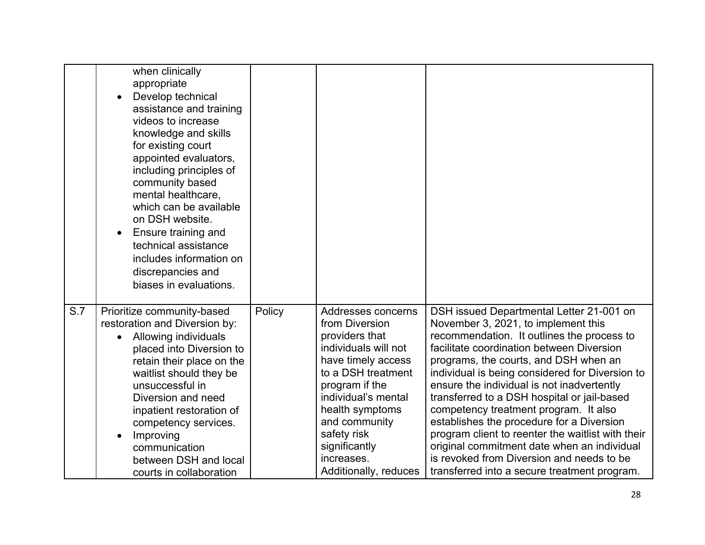|     | when clinically<br>appropriate<br>Develop technical<br>assistance and training<br>videos to increase<br>knowledge and skills<br>for existing court<br>appointed evaluators,<br>including principles of<br>community based<br>mental healthcare,<br>which can be available<br>on DSH website.<br>Ensure training and<br>$\bullet$<br>technical assistance<br>includes information on<br>discrepancies and<br>biases in evaluations. |        |                                                                                                                                                                                                                                                                                |                                                                                                                                                                                                                                                                                                                                                                                                                                                                                                                                                                                                                                                            |
|-----|------------------------------------------------------------------------------------------------------------------------------------------------------------------------------------------------------------------------------------------------------------------------------------------------------------------------------------------------------------------------------------------------------------------------------------|--------|--------------------------------------------------------------------------------------------------------------------------------------------------------------------------------------------------------------------------------------------------------------------------------|------------------------------------------------------------------------------------------------------------------------------------------------------------------------------------------------------------------------------------------------------------------------------------------------------------------------------------------------------------------------------------------------------------------------------------------------------------------------------------------------------------------------------------------------------------------------------------------------------------------------------------------------------------|
| S.7 | Prioritize community-based<br>restoration and Diversion by:<br>Allowing individuals<br>placed into Diversion to<br>retain their place on the<br>waitlist should they be<br>unsuccessful in<br>Diversion and need<br>inpatient restoration of<br>competency services.<br>Improving<br>communication<br>between DSH and local<br>courts in collaboration                                                                             | Policy | Addresses concerns<br>from Diversion<br>providers that<br>individuals will not<br>have timely access<br>to a DSH treatment<br>program if the<br>individual's mental<br>health symptoms<br>and community<br>safety risk<br>significantly<br>increases.<br>Additionally, reduces | DSH issued Departmental Letter 21-001 on<br>November 3, 2021, to implement this<br>recommendation. It outlines the process to<br>facilitate coordination between Diversion<br>programs, the courts, and DSH when an<br>individual is being considered for Diversion to<br>ensure the individual is not inadvertently<br>transferred to a DSH hospital or jail-based<br>competency treatment program. It also<br>establishes the procedure for a Diversion<br>program client to reenter the waitlist with their<br>original commitment date when an individual<br>is revoked from Diversion and needs to be<br>transferred into a secure treatment program. |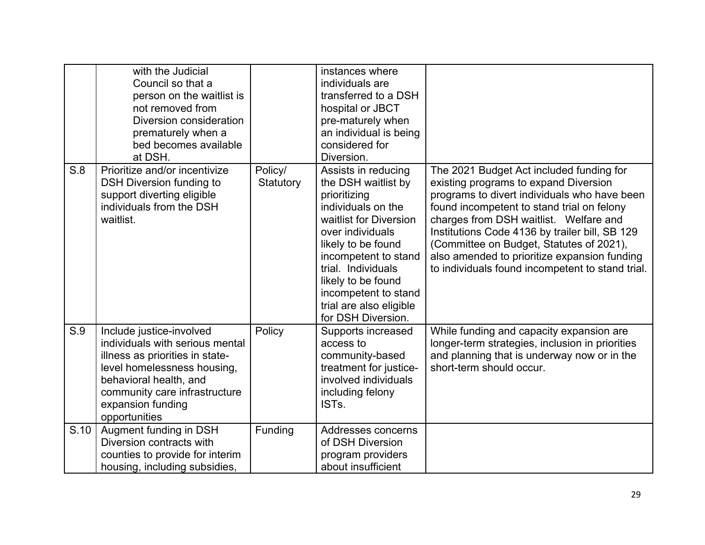|      | with the Judicial<br>Council so that a<br>person on the waitlist is<br>not removed from<br>Diversion consideration<br>prematurely when a<br>bed becomes available<br>at DSH.                                                   |                      | instances where<br>individuals are<br>transferred to a DSH<br>hospital or JBCT<br>pre-maturely when<br>an individual is being<br>considered for<br>Diversion.                                                                                                                                     |                                                                                                                                                                                                                                                                                                                                                                                                                             |
|------|--------------------------------------------------------------------------------------------------------------------------------------------------------------------------------------------------------------------------------|----------------------|---------------------------------------------------------------------------------------------------------------------------------------------------------------------------------------------------------------------------------------------------------------------------------------------------|-----------------------------------------------------------------------------------------------------------------------------------------------------------------------------------------------------------------------------------------------------------------------------------------------------------------------------------------------------------------------------------------------------------------------------|
| S.8  | Prioritize and/or incentivize<br><b>DSH Diversion funding to</b><br>support diverting eligible<br>individuals from the DSH<br>waitlist.                                                                                        | Policy/<br>Statutory | Assists in reducing<br>the DSH waitlist by<br>prioritizing<br>individuals on the<br>waitlist for Diversion<br>over individuals<br>likely to be found<br>incompetent to stand<br>trial. Individuals<br>likely to be found<br>incompetent to stand<br>trial are also eligible<br>for DSH Diversion. | The 2021 Budget Act included funding for<br>existing programs to expand Diversion<br>programs to divert individuals who have been<br>found incompetent to stand trial on felony<br>charges from DSH waitlist. Welfare and<br>Institutions Code 4136 by trailer bill, SB 129<br>(Committee on Budget, Statutes of 2021),<br>also amended to prioritize expansion funding<br>to individuals found incompetent to stand trial. |
| S.9  | Include justice-involved<br>individuals with serious mental<br>illness as priorities in state-<br>level homelessness housing,<br>behavioral health, and<br>community care infrastructure<br>expansion funding<br>opportunities | Policy               | Supports increased<br>access to<br>community-based<br>treatment for justice-<br>involved individuals<br>including felony<br>IST <sub>s</sub> .                                                                                                                                                    | While funding and capacity expansion are<br>longer-term strategies, inclusion in priorities<br>and planning that is underway now or in the<br>short-term should occur.                                                                                                                                                                                                                                                      |
| S.10 | Augment funding in DSH<br>Diversion contracts with<br>counties to provide for interim<br>housing, including subsidies,                                                                                                         | Funding              | Addresses concerns<br>of DSH Diversion<br>program providers<br>about insufficient                                                                                                                                                                                                                 |                                                                                                                                                                                                                                                                                                                                                                                                                             |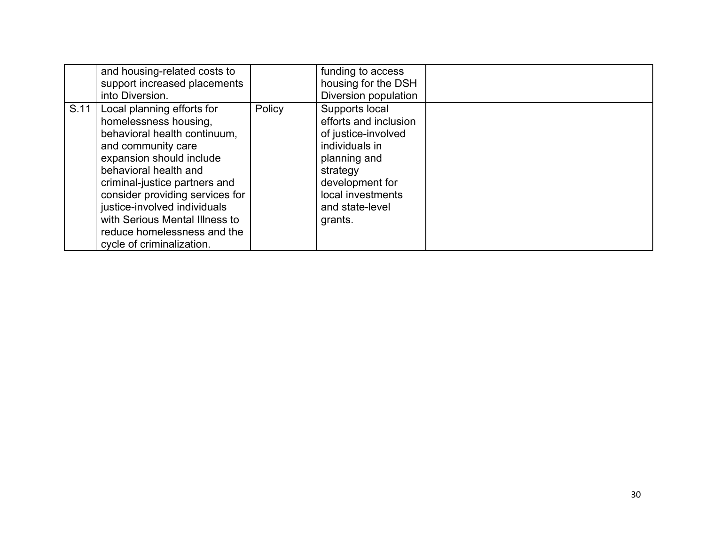|      | and housing-related costs to<br>support increased placements<br>into Diversion.                                                                                                                                                                                                                                                                                  |        | funding to access<br>housing for the DSH<br>Diversion population                                                                                                                   |  |
|------|------------------------------------------------------------------------------------------------------------------------------------------------------------------------------------------------------------------------------------------------------------------------------------------------------------------------------------------------------------------|--------|------------------------------------------------------------------------------------------------------------------------------------------------------------------------------------|--|
| S.11 | Local planning efforts for<br>homelessness housing,<br>behavioral health continuum,<br>and community care<br>expansion should include<br>behavioral health and<br>criminal-justice partners and<br>consider providing services for<br>justice-involved individuals<br>with Serious Mental Illness to<br>reduce homelessness and the<br>cycle of criminalization. | Policy | Supports local<br>efforts and inclusion<br>of justice-involved<br>individuals in<br>planning and<br>strategy<br>development for<br>local investments<br>and state-level<br>grants. |  |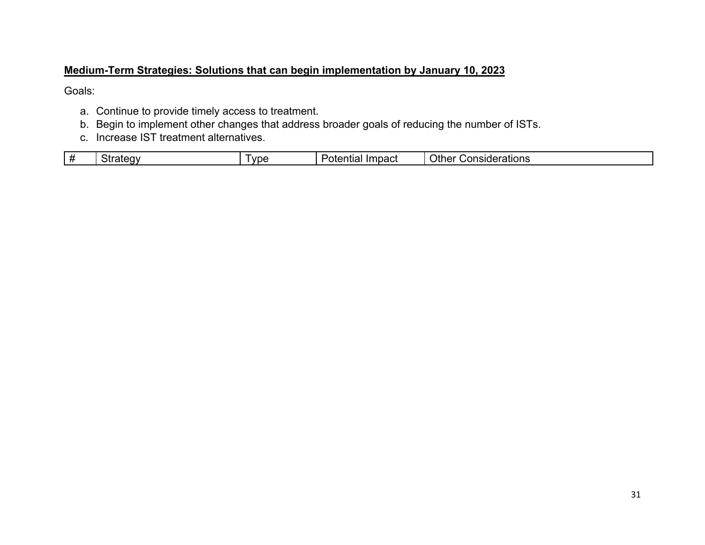#### **Medium-Term Strategies: Solutions that can begin implementation by January 10, 2023**

Goals:

- a. Continue to provide timely access to treatment.
- b. Begin to implement other changes that address broader goals of reducing the number of ISTs.
- c. Increase IST treatment alternatives.

|  |  | ∽<br>ີ | vpe | .<br>י הר<br>$-$<br>خالك<br>.<br>undul i | ′ )th∈.<br>$ -$<br>Considerations |
|--|--|--------|-----|------------------------------------------|-----------------------------------|
|--|--|--------|-----|------------------------------------------|-----------------------------------|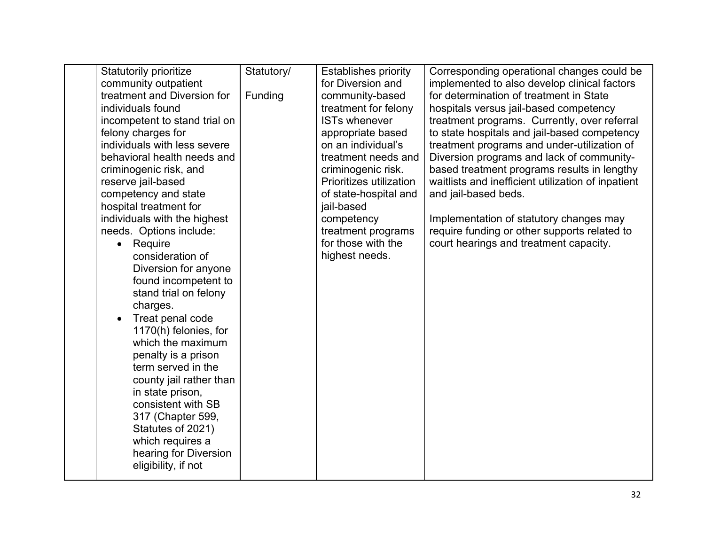| <b>Statutorily prioritize</b> | Statutory/ | <b>Establishes priority</b> | Corresponding operational changes could be         |
|-------------------------------|------------|-----------------------------|----------------------------------------------------|
| community outpatient          |            | for Diversion and           | implemented to also develop clinical factors       |
| treatment and Diversion for   | Funding    | community-based             | for determination of treatment in State            |
| individuals found             |            | treatment for felony        | hospitals versus jail-based competency             |
| incompetent to stand trial on |            | <b>ISTs whenever</b>        | treatment programs. Currently, over referral       |
| felony charges for            |            | appropriate based           | to state hospitals and jail-based competency       |
| individuals with less severe  |            | on an individual's          | treatment programs and under-utilization of        |
| behavioral health needs and   |            | treatment needs and         | Diversion programs and lack of community-          |
| criminogenic risk, and        |            | criminogenic risk.          | based treatment programs results in lengthy        |
| reserve jail-based            |            | Prioritizes utilization     | waitlists and inefficient utilization of inpatient |
| competency and state          |            | of state-hospital and       | and jail-based beds.                               |
| hospital treatment for        |            | jail-based                  |                                                    |
| individuals with the highest  |            | competency                  | Implementation of statutory changes may            |
| needs. Options include:       |            | treatment programs          | require funding or other supports related to       |
| Require                       |            | for those with the          | court hearings and treatment capacity.             |
| consideration of              |            | highest needs.              |                                                    |
| Diversion for anyone          |            |                             |                                                    |
| found incompetent to          |            |                             |                                                    |
| stand trial on felony         |            |                             |                                                    |
| charges.                      |            |                             |                                                    |
| Treat penal code<br>$\bullet$ |            |                             |                                                    |
| 1170(h) felonies, for         |            |                             |                                                    |
| which the maximum             |            |                             |                                                    |
| penalty is a prison           |            |                             |                                                    |
| term served in the            |            |                             |                                                    |
| county jail rather than       |            |                             |                                                    |
| in state prison,              |            |                             |                                                    |
| consistent with SB            |            |                             |                                                    |
| 317 (Chapter 599,             |            |                             |                                                    |
| Statutes of 2021)             |            |                             |                                                    |
| which requires a              |            |                             |                                                    |
| hearing for Diversion         |            |                             |                                                    |
| eligibility, if not           |            |                             |                                                    |
|                               |            |                             |                                                    |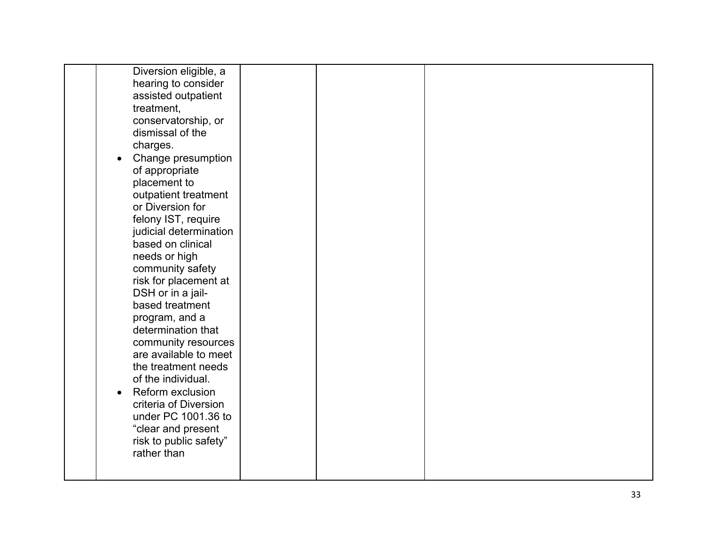| Diversion eligible, a  |  |  |
|------------------------|--|--|
| hearing to consider    |  |  |
| assisted outpatient    |  |  |
| treatment,             |  |  |
| conservatorship, or    |  |  |
| dismissal of the       |  |  |
| charges.               |  |  |
| Change presumption     |  |  |
| of appropriate         |  |  |
| placement to           |  |  |
| outpatient treatment   |  |  |
| or Diversion for       |  |  |
| felony IST, require    |  |  |
| judicial determination |  |  |
| based on clinical      |  |  |
| needs or high          |  |  |
| community safety       |  |  |
| risk for placement at  |  |  |
| DSH or in a jail-      |  |  |
| based treatment        |  |  |
| program, and a         |  |  |
| determination that     |  |  |
| community resources    |  |  |
| are available to meet  |  |  |
| the treatment needs    |  |  |
| of the individual.     |  |  |
| Reform exclusion       |  |  |
| criteria of Diversion  |  |  |
| under PC 1001.36 to    |  |  |
| "clear and present     |  |  |
| risk to public safety" |  |  |
| rather than            |  |  |
|                        |  |  |
|                        |  |  |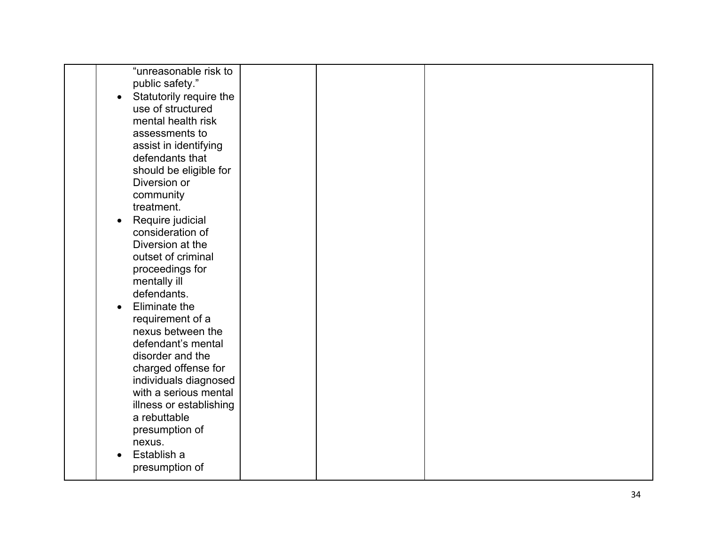| "unreasonable risk to   |  |  |
|-------------------------|--|--|
| public safety."         |  |  |
| Statutorily require the |  |  |
| use of structured       |  |  |
| mental health risk      |  |  |
| assessments to          |  |  |
|                         |  |  |
| assist in identifying   |  |  |
| defendants that         |  |  |
| should be eligible for  |  |  |
| Diversion or            |  |  |
| community               |  |  |
| treatment.              |  |  |
| Require judicial        |  |  |
| consideration of        |  |  |
| Diversion at the        |  |  |
| outset of criminal      |  |  |
| proceedings for         |  |  |
| mentally ill            |  |  |
| defendants.             |  |  |
| Eliminate the           |  |  |
| requirement of a        |  |  |
| nexus between the       |  |  |
| defendant's mental      |  |  |
|                         |  |  |
| disorder and the        |  |  |
| charged offense for     |  |  |
| individuals diagnosed   |  |  |
| with a serious mental   |  |  |
| illness or establishing |  |  |
| a rebuttable            |  |  |
| presumption of          |  |  |
| nexus.                  |  |  |
| Establish a             |  |  |
| presumption of          |  |  |
|                         |  |  |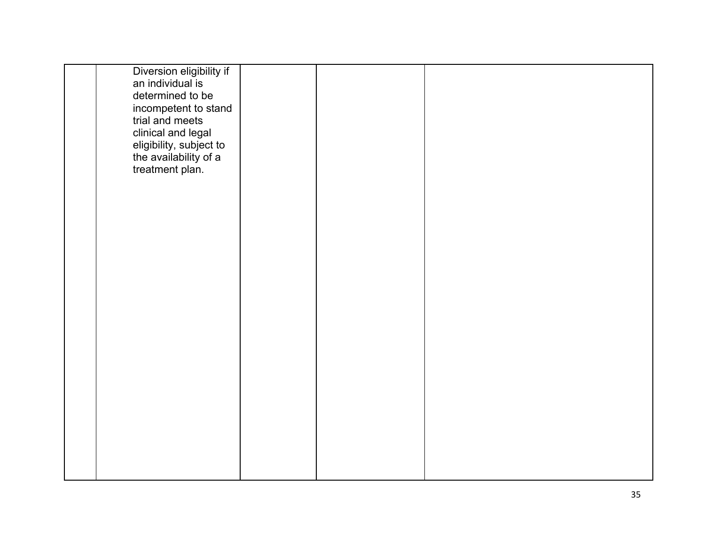| Diversion eligibility if                         |  |  |
|--------------------------------------------------|--|--|
|                                                  |  |  |
| an individual is                                 |  |  |
| determined to be                                 |  |  |
|                                                  |  |  |
| incompetent to stand                             |  |  |
| trial and meets                                  |  |  |
|                                                  |  |  |
| clinical and legal                               |  |  |
|                                                  |  |  |
|                                                  |  |  |
| eligibility, subject to<br>the availability of a |  |  |
| treatment plan.                                  |  |  |
|                                                  |  |  |
|                                                  |  |  |
|                                                  |  |  |
|                                                  |  |  |
|                                                  |  |  |
|                                                  |  |  |
|                                                  |  |  |
|                                                  |  |  |
|                                                  |  |  |
|                                                  |  |  |
|                                                  |  |  |
|                                                  |  |  |
|                                                  |  |  |
|                                                  |  |  |
|                                                  |  |  |
|                                                  |  |  |
|                                                  |  |  |
|                                                  |  |  |
|                                                  |  |  |
|                                                  |  |  |
|                                                  |  |  |
|                                                  |  |  |
|                                                  |  |  |
|                                                  |  |  |
|                                                  |  |  |
|                                                  |  |  |
|                                                  |  |  |
|                                                  |  |  |
|                                                  |  |  |
|                                                  |  |  |
|                                                  |  |  |
|                                                  |  |  |
|                                                  |  |  |
|                                                  |  |  |
|                                                  |  |  |
|                                                  |  |  |
|                                                  |  |  |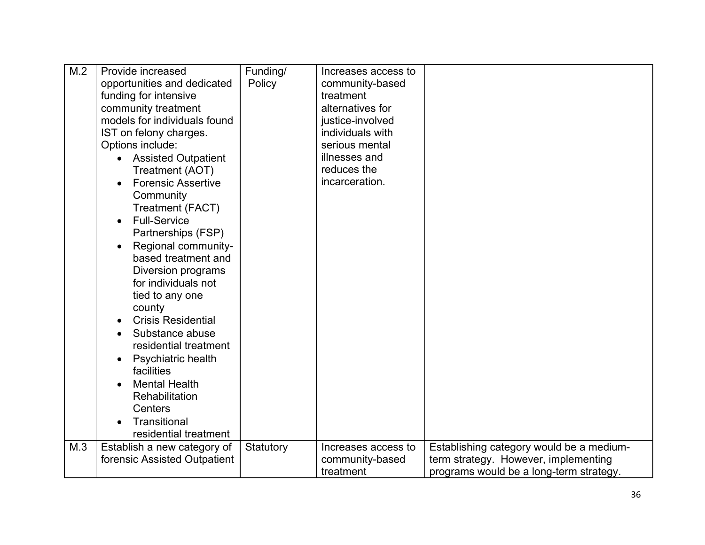| M.2 | Provide increased<br>opportunities and dedicated<br>funding for intensive<br>community treatment<br>models for individuals found<br>IST on felony charges.<br>Options include:<br><b>Assisted Outpatient</b><br>Treatment (AOT)<br><b>Forensic Assertive</b><br>Community<br>Treatment (FACT)<br><b>Full-Service</b><br>$\bullet$<br>Partnerships (FSP)<br>Regional community-<br>based treatment and<br>Diversion programs<br>for individuals not<br>tied to any one<br>county<br><b>Crisis Residential</b><br>Substance abuse<br>residential treatment<br>Psychiatric health<br>facilities<br><b>Mental Health</b><br>Rehabilitation<br>Centers<br>Transitional<br>residential treatment | Funding/<br>Policy | Increases access to<br>community-based<br>treatment<br>alternatives for<br>justice-involved<br>individuals with<br>serious mental<br>illnesses and<br>reduces the<br>incarceration. |                                                                                                                             |
|-----|--------------------------------------------------------------------------------------------------------------------------------------------------------------------------------------------------------------------------------------------------------------------------------------------------------------------------------------------------------------------------------------------------------------------------------------------------------------------------------------------------------------------------------------------------------------------------------------------------------------------------------------------------------------------------------------------|--------------------|-------------------------------------------------------------------------------------------------------------------------------------------------------------------------------------|-----------------------------------------------------------------------------------------------------------------------------|
| M.3 | Establish a new category of<br>forensic Assisted Outpatient                                                                                                                                                                                                                                                                                                                                                                                                                                                                                                                                                                                                                                | Statutory          | Increases access to<br>community-based<br>treatment                                                                                                                                 | Establishing category would be a medium-<br>term strategy. However, implementing<br>programs would be a long-term strategy. |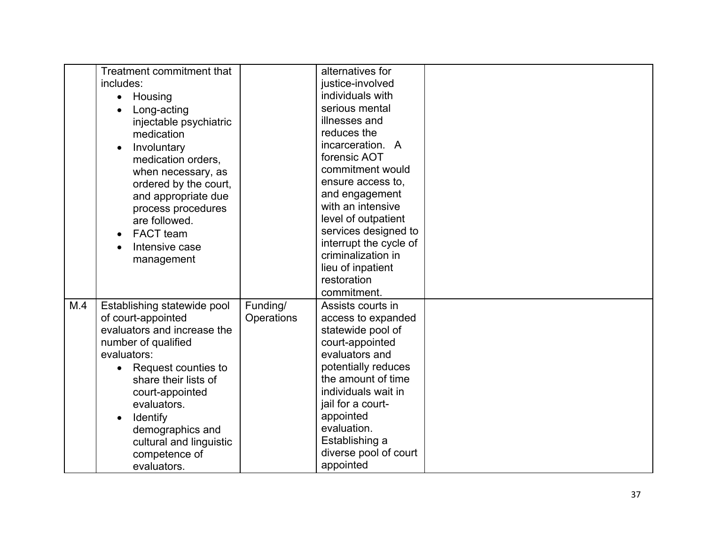|     | Treatment commitment that        |            | alternatives for       |  |
|-----|----------------------------------|------------|------------------------|--|
|     | includes:                        |            | justice-involved       |  |
|     | Housing<br>$\bullet$             |            | individuals with       |  |
|     | Long-acting                      |            | serious mental         |  |
|     | injectable psychiatric           |            | illnesses and          |  |
|     | medication                       |            | reduces the            |  |
|     | Involuntary<br>$\bullet$         |            | incarceration. A       |  |
|     | medication orders,               |            | forensic AOT           |  |
|     | when necessary, as               |            | commitment would       |  |
|     | ordered by the court,            |            | ensure access to,      |  |
|     | and appropriate due              |            | and engagement         |  |
|     | process procedures               |            | with an intensive      |  |
|     | are followed.                    |            | level of outpatient    |  |
|     | <b>FACT</b> team                 |            | services designed to   |  |
|     | Intensive case                   |            | interrupt the cycle of |  |
|     | management                       |            | criminalization in     |  |
|     |                                  |            | lieu of inpatient      |  |
|     |                                  |            | restoration            |  |
|     |                                  |            | commitment.            |  |
| M.4 | Establishing statewide pool      | Funding/   | Assists courts in      |  |
|     | of court-appointed               | Operations | access to expanded     |  |
|     | evaluators and increase the      |            | statewide pool of      |  |
|     | number of qualified              |            | court-appointed        |  |
|     | evaluators:                      |            | evaluators and         |  |
|     | Request counties to<br>$\bullet$ |            | potentially reduces    |  |
|     | share their lists of             |            | the amount of time     |  |
|     | court-appointed                  |            | individuals wait in    |  |
|     | evaluators.                      |            | jail for a court-      |  |
|     | <b>Identify</b>                  |            | appointed              |  |
|     | demographics and                 |            | evaluation.            |  |
|     | cultural and linguistic          |            | Establishing a         |  |
|     | competence of                    |            | diverse pool of court  |  |
|     | evaluators.                      |            | appointed              |  |
|     |                                  |            |                        |  |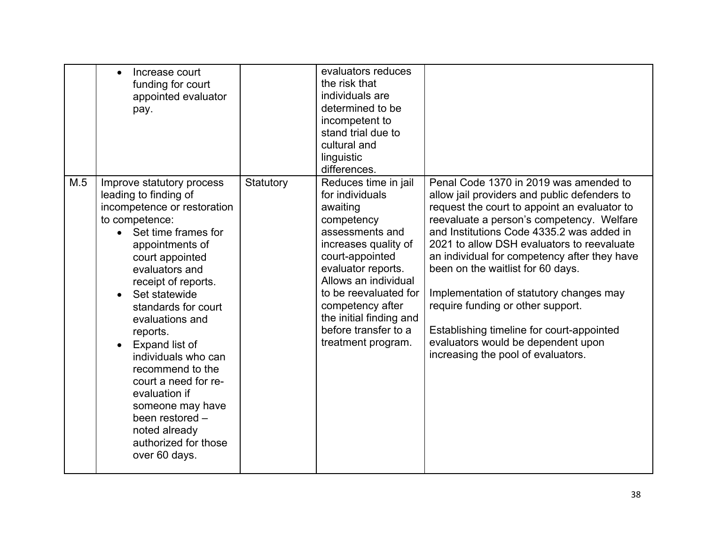|     | Increase court<br>funding for court<br>appointed evaluator<br>pay.                                                                                                                                                                                                                                                                                                                                                                                                                      |           | evaluators reduces<br>the risk that<br>individuals are<br>determined to be<br>incompetent to<br>stand trial due to<br>cultural and<br>linguistic<br>differences.                                                                                                                                    |                                                                                                                                                                                                                                                                                                                                                                                                                                                                                                                                                                              |
|-----|-----------------------------------------------------------------------------------------------------------------------------------------------------------------------------------------------------------------------------------------------------------------------------------------------------------------------------------------------------------------------------------------------------------------------------------------------------------------------------------------|-----------|-----------------------------------------------------------------------------------------------------------------------------------------------------------------------------------------------------------------------------------------------------------------------------------------------------|------------------------------------------------------------------------------------------------------------------------------------------------------------------------------------------------------------------------------------------------------------------------------------------------------------------------------------------------------------------------------------------------------------------------------------------------------------------------------------------------------------------------------------------------------------------------------|
| M.5 | Improve statutory process<br>leading to finding of<br>incompetence or restoration<br>to competence:<br>Set time frames for<br>appointments of<br>court appointed<br>evaluators and<br>receipt of reports.<br>Set statewide<br>standards for court<br>evaluations and<br>reports.<br>Expand list of<br>individuals who can<br>recommend to the<br>court a need for re-<br>evaluation if<br>someone may have<br>been restored -<br>noted already<br>authorized for those<br>over 60 days. | Statutory | Reduces time in jail<br>for individuals<br>awaiting<br>competency<br>assessments and<br>increases quality of<br>court-appointed<br>evaluator reports.<br>Allows an individual<br>to be reevaluated for<br>competency after<br>the initial finding and<br>before transfer to a<br>treatment program. | Penal Code 1370 in 2019 was amended to<br>allow jail providers and public defenders to<br>request the court to appoint an evaluator to<br>reevaluate a person's competency. Welfare<br>and Institutions Code 4335.2 was added in<br>2021 to allow DSH evaluators to reevaluate<br>an individual for competency after they have<br>been on the waitlist for 60 days.<br>Implementation of statutory changes may<br>require funding or other support.<br>Establishing timeline for court-appointed<br>evaluators would be dependent upon<br>increasing the pool of evaluators. |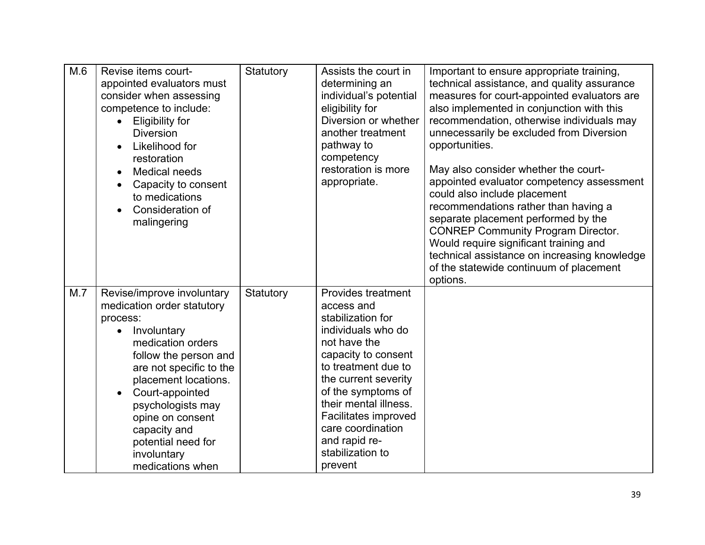| M.6 | Revise items court-<br>appointed evaluators must<br>consider when assessing<br>competence to include:<br><b>Eligibility for</b><br>$\bullet$<br><b>Diversion</b><br>Likelihood for<br>restoration<br><b>Medical needs</b><br>Capacity to consent<br>to medications<br>Consideration of<br>malingering                                  | Statutory | Assists the court in<br>determining an<br>individual's potential<br>eligibility for<br>Diversion or whether<br>another treatment<br>pathway to<br>competency<br>restoration is more<br>appropriate.                                                                                                                         | Important to ensure appropriate training,<br>technical assistance, and quality assurance<br>measures for court-appointed evaluators are<br>also implemented in conjunction with this<br>recommendation, otherwise individuals may<br>unnecessarily be excluded from Diversion<br>opportunities.<br>May also consider whether the court-<br>appointed evaluator competency assessment<br>could also include placement<br>recommendations rather than having a<br>separate placement performed by the<br><b>CONREP Community Program Director.</b><br>Would require significant training and<br>technical assistance on increasing knowledge<br>of the statewide continuum of placement<br>options. |
|-----|----------------------------------------------------------------------------------------------------------------------------------------------------------------------------------------------------------------------------------------------------------------------------------------------------------------------------------------|-----------|-----------------------------------------------------------------------------------------------------------------------------------------------------------------------------------------------------------------------------------------------------------------------------------------------------------------------------|---------------------------------------------------------------------------------------------------------------------------------------------------------------------------------------------------------------------------------------------------------------------------------------------------------------------------------------------------------------------------------------------------------------------------------------------------------------------------------------------------------------------------------------------------------------------------------------------------------------------------------------------------------------------------------------------------|
| M.7 | Revise/improve involuntary<br>medication order statutory<br>process:<br>Involuntary<br>$\bullet$<br>medication orders<br>follow the person and<br>are not specific to the<br>placement locations.<br>Court-appointed<br>psychologists may<br>opine on consent<br>capacity and<br>potential need for<br>involuntary<br>medications when | Statutory | <b>Provides treatment</b><br>access and<br>stabilization for<br>individuals who do<br>not have the<br>capacity to consent<br>to treatment due to<br>the current severity<br>of the symptoms of<br>their mental illness.<br><b>Facilitates improved</b><br>care coordination<br>and rapid re-<br>stabilization to<br>prevent |                                                                                                                                                                                                                                                                                                                                                                                                                                                                                                                                                                                                                                                                                                   |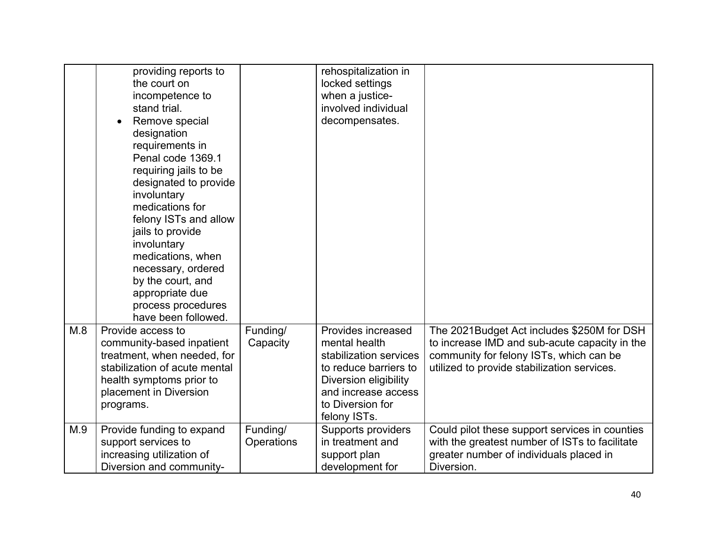|     | providing reports to<br>the court on<br>incompetence to<br>stand trial.<br>Remove special<br>designation<br>requirements in<br>Penal code 1369.1<br>requiring jails to be<br>designated to provide<br>involuntary<br>medications for<br>felony ISTs and allow<br>jails to provide<br>involuntary<br>medications, when<br>necessary, ordered<br>by the court, and<br>appropriate due<br>process procedures<br>have been followed. |                        | rehospitalization in<br>locked settings<br>when a justice-<br>involved individual<br>decompensates.                                                                        |                                                                                                                                                                                       |
|-----|----------------------------------------------------------------------------------------------------------------------------------------------------------------------------------------------------------------------------------------------------------------------------------------------------------------------------------------------------------------------------------------------------------------------------------|------------------------|----------------------------------------------------------------------------------------------------------------------------------------------------------------------------|---------------------------------------------------------------------------------------------------------------------------------------------------------------------------------------|
| M.8 | Provide access to<br>community-based inpatient<br>treatment, when needed, for<br>stabilization of acute mental<br>health symptoms prior to<br>placement in Diversion<br>programs.                                                                                                                                                                                                                                                | Funding/<br>Capacity   | Provides increased<br>mental health<br>stabilization services<br>to reduce barriers to<br>Diversion eligibility<br>and increase access<br>to Diversion for<br>felony ISTs. | The 2021Budget Act includes \$250M for DSH<br>to increase IMD and sub-acute capacity in the<br>community for felony ISTs, which can be<br>utilized to provide stabilization services. |
| M.9 | Provide funding to expand<br>support services to<br>increasing utilization of<br>Diversion and community-                                                                                                                                                                                                                                                                                                                        | Funding/<br>Operations | Supports providers<br>in treatment and<br>support plan<br>development for                                                                                                  | Could pilot these support services in counties<br>with the greatest number of ISTs to facilitate<br>greater number of individuals placed in<br>Diversion.                             |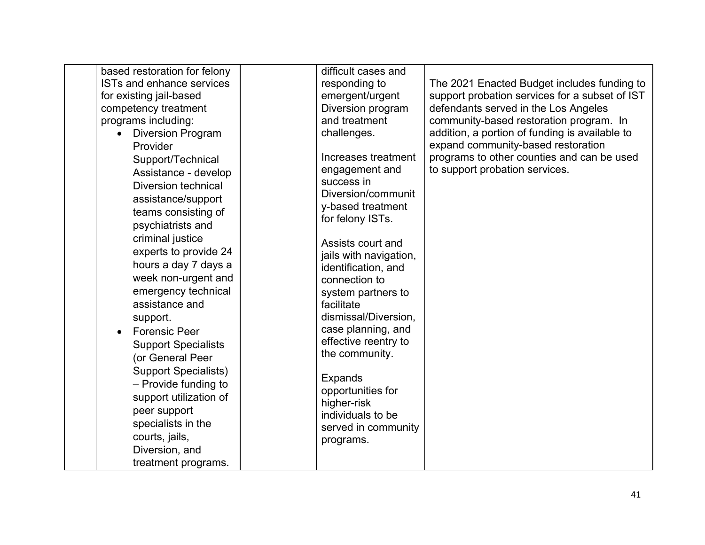|                         | based restoration for felony     | difficult cases and                  |                                                |
|-------------------------|----------------------------------|--------------------------------------|------------------------------------------------|
|                         | <b>ISTs and enhance services</b> | responding to                        | The 2021 Enacted Budget includes funding to    |
| for existing jail-based |                                  | emergent/urgent                      | support probation services for a subset of IST |
|                         | competency treatment             | Diversion program                    | defendants served in the Los Angeles           |
| programs including:     |                                  | and treatment                        | community-based restoration program. In        |
|                         | <b>Diversion Program</b>         | challenges.                          | addition, a portion of funding is available to |
| Provider                |                                  |                                      | expand community-based restoration             |
|                         | Support/Technical                | Increases treatment                  | programs to other counties and can be used     |
|                         | Assistance - develop             | engagement and                       | to support probation services.                 |
|                         | <b>Diversion technical</b>       | success in                           |                                                |
|                         | assistance/support               | Diversion/communit                   |                                                |
|                         | teams consisting of              | y-based treatment                    |                                                |
|                         | psychiatrists and                | for felony ISTs.                     |                                                |
|                         | criminal justice                 |                                      |                                                |
|                         | experts to provide 24            | Assists court and                    |                                                |
|                         | hours a day 7 days a             | jails with navigation,               |                                                |
|                         | week non-urgent and              | identification, and<br>connection to |                                                |
|                         | emergency technical              |                                      |                                                |
|                         | assistance and                   | system partners to<br>facilitate     |                                                |
|                         |                                  | dismissal/Diversion,                 |                                                |
| support.                |                                  | case planning, and                   |                                                |
|                         | <b>Forensic Peer</b>             | effective reentry to                 |                                                |
|                         | <b>Support Specialists</b>       | the community.                       |                                                |
|                         | (or General Peer                 |                                      |                                                |
|                         | <b>Support Specialists)</b>      | <b>Expands</b>                       |                                                |
|                         | - Provide funding to             | opportunities for                    |                                                |
|                         | support utilization of           | higher-risk                          |                                                |
|                         | peer support                     | individuals to be                    |                                                |
|                         | specialists in the               | served in community                  |                                                |
|                         | courts, jails,                   | programs.                            |                                                |
|                         | Diversion, and                   |                                      |                                                |
|                         | treatment programs.              |                                      |                                                |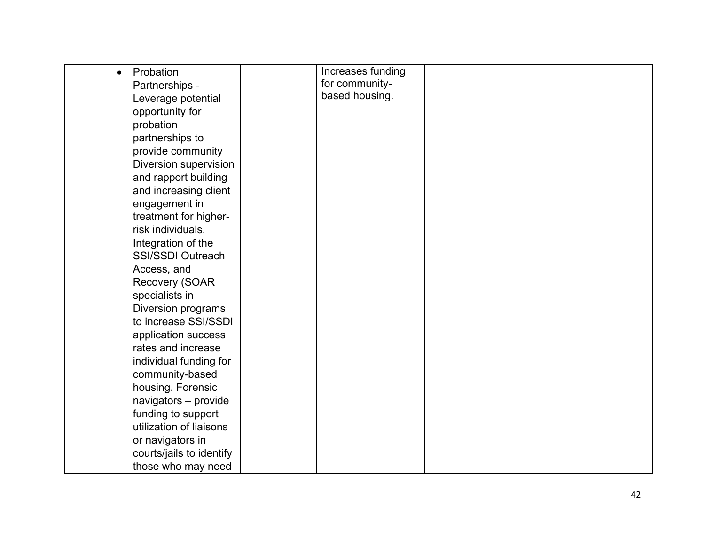| Probation<br>$\bullet$   | Increases funding |  |
|--------------------------|-------------------|--|
| Partnerships -           | for community-    |  |
| Leverage potential       | based housing.    |  |
| opportunity for          |                   |  |
| probation                |                   |  |
| partnerships to          |                   |  |
| provide community        |                   |  |
| Diversion supervision    |                   |  |
| and rapport building     |                   |  |
| and increasing client    |                   |  |
| engagement in            |                   |  |
| treatment for higher-    |                   |  |
| risk individuals.        |                   |  |
| Integration of the       |                   |  |
| <b>SSI/SSDI Outreach</b> |                   |  |
| Access, and              |                   |  |
| Recovery (SOAR           |                   |  |
| specialists in           |                   |  |
| Diversion programs       |                   |  |
| to increase SSI/SSDI     |                   |  |
| application success      |                   |  |
| rates and increase       |                   |  |
| individual funding for   |                   |  |
| community-based          |                   |  |
| housing. Forensic        |                   |  |
| navigators - provide     |                   |  |
| funding to support       |                   |  |
| utilization of liaisons  |                   |  |
| or navigators in         |                   |  |
| courts/jails to identify |                   |  |
| those who may need       |                   |  |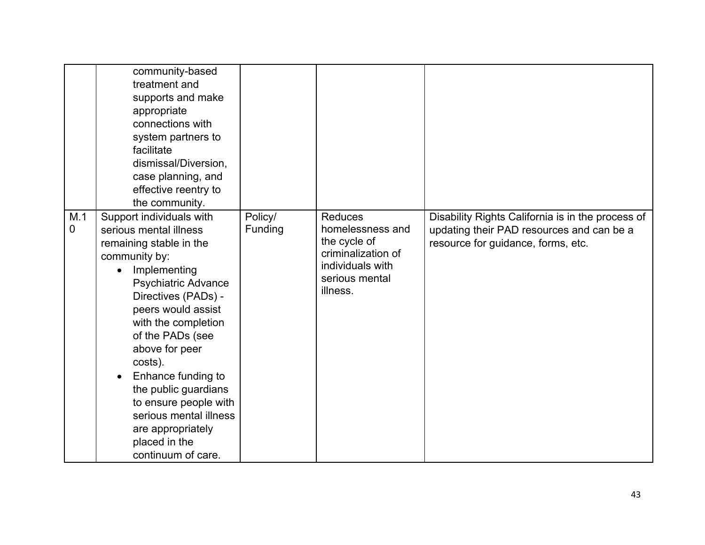|                       | community-based<br>treatment and<br>supports and make<br>appropriate<br>connections with<br>system partners to<br>facilitate<br>dismissal/Diversion,<br>case planning, and<br>effective reentry to<br>the community.                                                                                                                                                                                                           |                    |                                                                                                                            |                                                                                                                                      |
|-----------------------|--------------------------------------------------------------------------------------------------------------------------------------------------------------------------------------------------------------------------------------------------------------------------------------------------------------------------------------------------------------------------------------------------------------------------------|--------------------|----------------------------------------------------------------------------------------------------------------------------|--------------------------------------------------------------------------------------------------------------------------------------|
| M.1<br>$\overline{0}$ | Support individuals with<br>serious mental illness<br>remaining stable in the<br>community by:<br>Implementing<br><b>Psychiatric Advance</b><br>Directives (PADs) -<br>peers would assist<br>with the completion<br>of the PADs (see<br>above for peer<br>costs).<br>Enhance funding to<br>the public guardians<br>to ensure people with<br>serious mental illness<br>are appropriately<br>placed in the<br>continuum of care. | Policy/<br>Funding | <b>Reduces</b><br>homelessness and<br>the cycle of<br>criminalization of<br>individuals with<br>serious mental<br>illness. | Disability Rights California is in the process of<br>updating their PAD resources and can be a<br>resource for guidance, forms, etc. |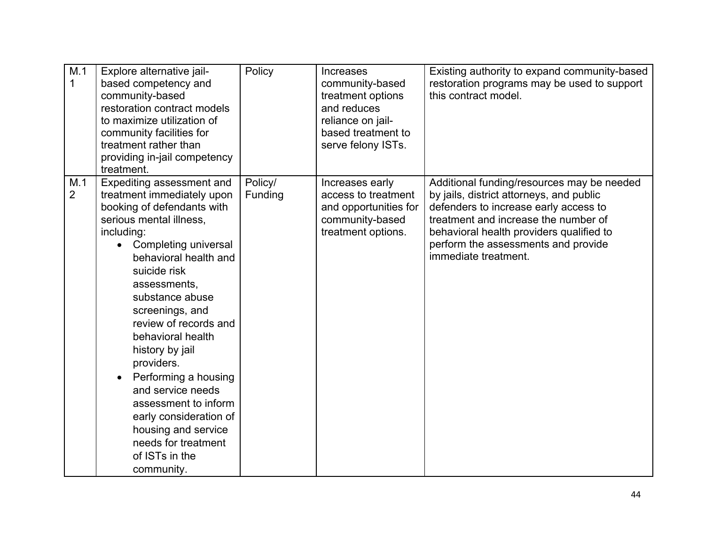| M.1<br>$\mathbf{1}$   | Explore alternative jail-<br>based competency and<br>community-based<br>restoration contract models<br>to maximize utilization of<br>community facilities for<br>treatment rather than<br>providing in-jail competency<br>treatment.                                                                                                                                                                                                                                                                              | Policy             | <b>Increases</b><br>community-based<br>treatment options<br>and reduces<br>reliance on jail-<br>based treatment to<br>serve felony ISTs. | Existing authority to expand community-based<br>restoration programs may be used to support<br>this contract model.                                                                                                                                                                |
|-----------------------|-------------------------------------------------------------------------------------------------------------------------------------------------------------------------------------------------------------------------------------------------------------------------------------------------------------------------------------------------------------------------------------------------------------------------------------------------------------------------------------------------------------------|--------------------|------------------------------------------------------------------------------------------------------------------------------------------|------------------------------------------------------------------------------------------------------------------------------------------------------------------------------------------------------------------------------------------------------------------------------------|
| M.1<br>$\overline{2}$ | Expediting assessment and<br>treatment immediately upon<br>booking of defendants with<br>serious mental illness,<br>including:<br>Completing universal<br>behavioral health and<br>suicide risk<br>assessments,<br>substance abuse<br>screenings, and<br>review of records and<br>behavioral health<br>history by jail<br>providers.<br>Performing a housing<br>and service needs<br>assessment to inform<br>early consideration of<br>housing and service<br>needs for treatment<br>of ISTs in the<br>community. | Policy/<br>Funding | Increases early<br>access to treatment<br>and opportunities for<br>community-based<br>treatment options.                                 | Additional funding/resources may be needed<br>by jails, district attorneys, and public<br>defenders to increase early access to<br>treatment and increase the number of<br>behavioral health providers qualified to<br>perform the assessments and provide<br>immediate treatment. |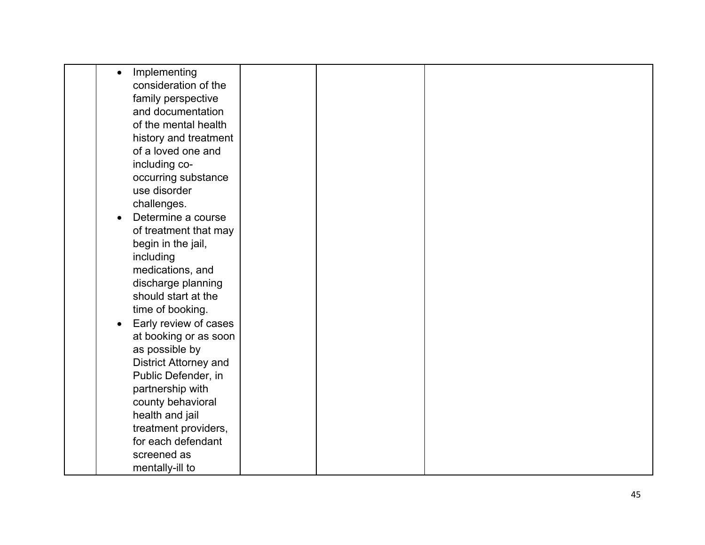| Implementing<br>$\bullet$          |  |  |
|------------------------------------|--|--|
| consideration of the               |  |  |
| family perspective                 |  |  |
| and documentation                  |  |  |
| of the mental health               |  |  |
| history and treatment              |  |  |
| of a loved one and                 |  |  |
| including co-                      |  |  |
| occurring substance                |  |  |
| use disorder                       |  |  |
| challenges.                        |  |  |
| Determine a course                 |  |  |
| of treatment that may              |  |  |
| begin in the jail,                 |  |  |
| including                          |  |  |
| medications, and                   |  |  |
| discharge planning                 |  |  |
| should start at the                |  |  |
| time of booking.                   |  |  |
| Early review of cases<br>$\bullet$ |  |  |
| at booking or as soon              |  |  |
| as possible by                     |  |  |
| District Attorney and              |  |  |
| Public Defender, in                |  |  |
| partnership with                   |  |  |
| county behavioral                  |  |  |
| health and jail                    |  |  |
| treatment providers,               |  |  |
| for each defendant                 |  |  |
| screened as                        |  |  |
| mentally-ill to                    |  |  |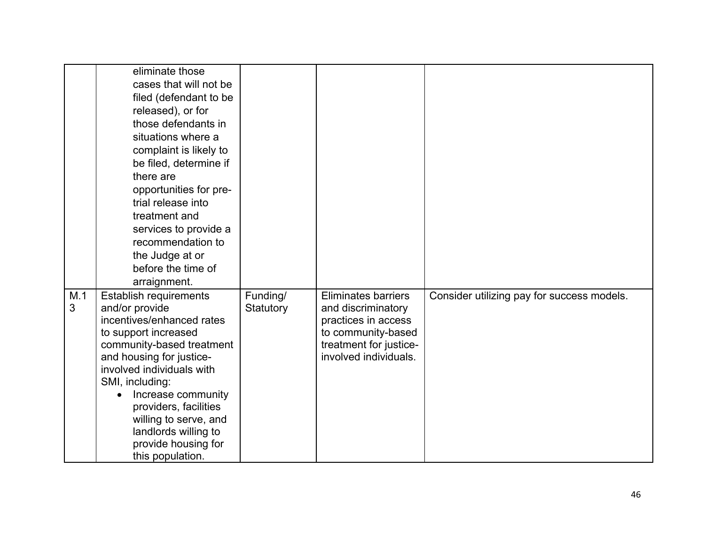|                     | eliminate those<br>cases that will not be<br>filed (defendant to be<br>released), or for<br>those defendants in<br>situations where a<br>complaint is likely to<br>be filed, determine if<br>there are<br>opportunities for pre-<br>trial release into<br>treatment and<br>services to provide a<br>recommendation to<br>the Judge at or<br>before the time of<br>arraignment. |                       |                                                                                                                                                  |                                            |
|---------------------|--------------------------------------------------------------------------------------------------------------------------------------------------------------------------------------------------------------------------------------------------------------------------------------------------------------------------------------------------------------------------------|-----------------------|--------------------------------------------------------------------------------------------------------------------------------------------------|--------------------------------------------|
| M.1<br>$\mathbf{3}$ | Establish requirements<br>and/or provide<br>incentives/enhanced rates<br>to support increased<br>community-based treatment<br>and housing for justice-<br>involved individuals with<br>SMI, including:<br>Increase community<br>providers, facilities<br>willing to serve, and<br>landlords willing to<br>provide housing for<br>this population.                              | Funding/<br>Statutory | <b>Eliminates barriers</b><br>and discriminatory<br>practices in access<br>to community-based<br>treatment for justice-<br>involved individuals. | Consider utilizing pay for success models. |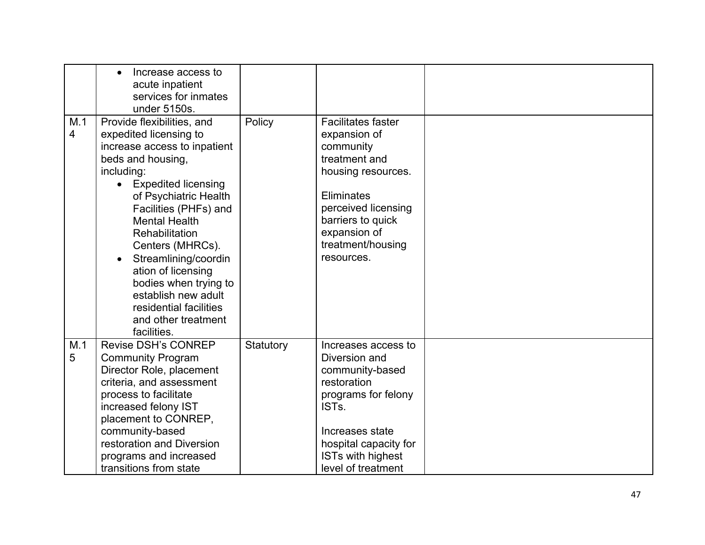| M.1<br>$\overline{4}$ | Increase access to<br>$\bullet$<br>acute inpatient<br>services for inmates<br>under 5150s.<br>Provide flexibilities, and<br>expedited licensing to<br>increase access to inpatient<br>beds and housing,<br>including: | Policy    | <b>Facilitates faster</b><br>expansion of<br>community<br>treatment and<br>housing resources. |  |
|-----------------------|-----------------------------------------------------------------------------------------------------------------------------------------------------------------------------------------------------------------------|-----------|-----------------------------------------------------------------------------------------------|--|
|                       | <b>Expedited licensing</b><br>$\bullet$                                                                                                                                                                               |           | Eliminates                                                                                    |  |
|                       | of Psychiatric Health<br>Facilities (PHFs) and                                                                                                                                                                        |           | perceived licensing                                                                           |  |
|                       | <b>Mental Health</b>                                                                                                                                                                                                  |           | barriers to quick                                                                             |  |
|                       | <b>Rehabilitation</b>                                                                                                                                                                                                 |           | expansion of                                                                                  |  |
|                       | Centers (MHRCs).<br>Streamlining/coordin                                                                                                                                                                              |           | treatment/housing<br>resources.                                                               |  |
|                       | ation of licensing                                                                                                                                                                                                    |           |                                                                                               |  |
|                       | bodies when trying to                                                                                                                                                                                                 |           |                                                                                               |  |
|                       | establish new adult<br>residential facilities                                                                                                                                                                         |           |                                                                                               |  |
|                       | and other treatment                                                                                                                                                                                                   |           |                                                                                               |  |
|                       | facilities.                                                                                                                                                                                                           |           |                                                                                               |  |
| M.1                   | <b>Revise DSH's CONREP</b>                                                                                                                                                                                            | Statutory | Increases access to                                                                           |  |
| 5                     | <b>Community Program</b>                                                                                                                                                                                              |           | Diversion and                                                                                 |  |
|                       | Director Role, placement<br>criteria, and assessment                                                                                                                                                                  |           | community-based<br>restoration                                                                |  |
|                       | process to facilitate                                                                                                                                                                                                 |           | programs for felony                                                                           |  |
|                       | increased felony IST                                                                                                                                                                                                  |           | IST <sub>s</sub>                                                                              |  |
|                       | placement to CONREP,                                                                                                                                                                                                  |           |                                                                                               |  |
|                       | community-based                                                                                                                                                                                                       |           | Increases state                                                                               |  |
|                       | restoration and Diversion                                                                                                                                                                                             |           | hospital capacity for                                                                         |  |
|                       | programs and increased                                                                                                                                                                                                |           | <b>ISTs with highest</b>                                                                      |  |
|                       | transitions from state                                                                                                                                                                                                |           | level of treatment                                                                            |  |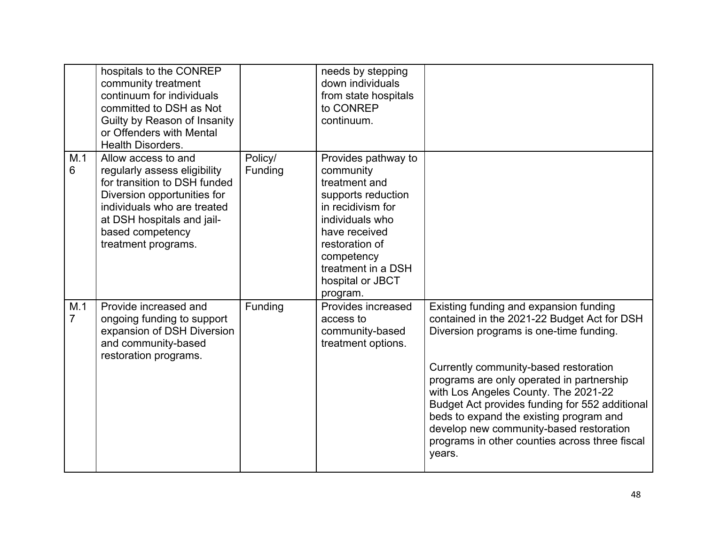|                       | hospitals to the CONREP<br>community treatment<br>continuum for individuals<br>committed to DSH as Not<br>Guilty by Reason of Insanity<br>or Offenders with Mental<br><b>Health Disorders.</b>                             |                    | needs by stepping<br>down individuals<br>from state hospitals<br>to CONREP<br>continuum.                                                                                                                               |                                                                                                                                                                                                                                                                                                                                                                                                                                                                    |
|-----------------------|----------------------------------------------------------------------------------------------------------------------------------------------------------------------------------------------------------------------------|--------------------|------------------------------------------------------------------------------------------------------------------------------------------------------------------------------------------------------------------------|--------------------------------------------------------------------------------------------------------------------------------------------------------------------------------------------------------------------------------------------------------------------------------------------------------------------------------------------------------------------------------------------------------------------------------------------------------------------|
| M.1<br>6              | Allow access to and<br>regularly assess eligibility<br>for transition to DSH funded<br>Diversion opportunities for<br>individuals who are treated<br>at DSH hospitals and jail-<br>based competency<br>treatment programs. | Policy/<br>Funding | Provides pathway to<br>community<br>treatment and<br>supports reduction<br>in recidivism for<br>individuals who<br>have received<br>restoration of<br>competency<br>treatment in a DSH<br>hospital or JBCT<br>program. |                                                                                                                                                                                                                                                                                                                                                                                                                                                                    |
| M.1<br>$\overline{7}$ | Provide increased and<br>ongoing funding to support<br>expansion of DSH Diversion<br>and community-based<br>restoration programs.                                                                                          | Funding            | Provides increased<br>access to<br>community-based<br>treatment options.                                                                                                                                               | Existing funding and expansion funding<br>contained in the 2021-22 Budget Act for DSH<br>Diversion programs is one-time funding.<br>Currently community-based restoration<br>programs are only operated in partnership<br>with Los Angeles County. The 2021-22<br>Budget Act provides funding for 552 additional<br>beds to expand the existing program and<br>develop new community-based restoration<br>programs in other counties across three fiscal<br>years. |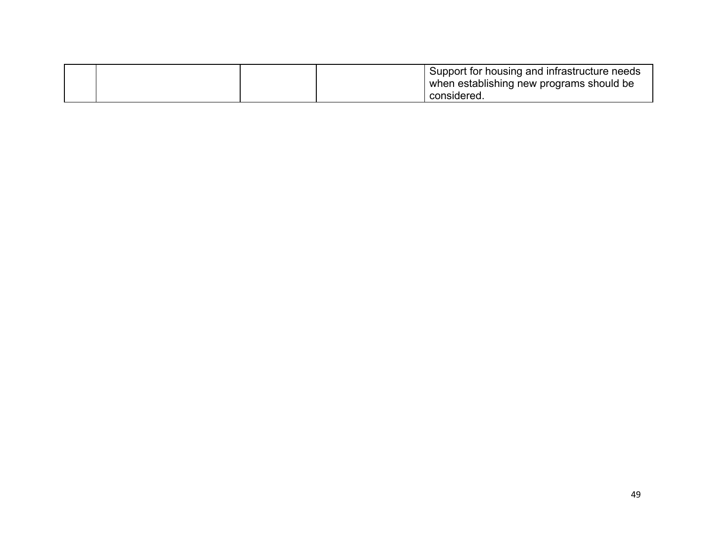|  |  | Support for housing and infrastructure needs |
|--|--|----------------------------------------------|
|  |  | when establishing new programs should be     |
|  |  | considered                                   |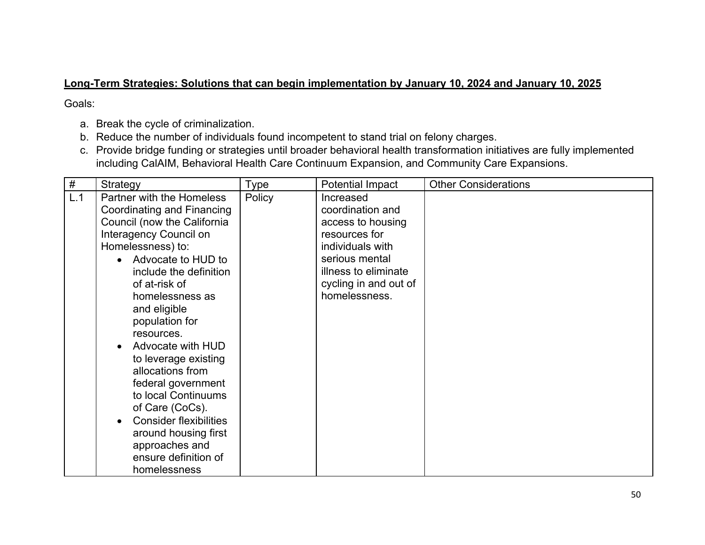#### **Long-Term Strategies: Solutions that can begin implementation by January 10, 2024 and January 10, 2025**

Goals:

- a. Break the cycle of criminalization.
- b. Reduce the number of individuals found incompetent to stand trial on felony charges.
- c. Provide bridge funding or strategies until broader behavioral health transformation initiatives are fully implemented including CalAIM, Behavioral Health Care Continuum Expansion, and Community Care Expansions.

| $\#$ | Strategy                                                                                                                                                                                                                                                                                                                                                                                                                                                                                                      | <b>Type</b> | Potential Impact                                                                                                                                                            | <b>Other Considerations</b> |
|------|---------------------------------------------------------------------------------------------------------------------------------------------------------------------------------------------------------------------------------------------------------------------------------------------------------------------------------------------------------------------------------------------------------------------------------------------------------------------------------------------------------------|-------------|-----------------------------------------------------------------------------------------------------------------------------------------------------------------------------|-----------------------------|
| L.1  | Partner with the Homeless<br>Coordinating and Financing<br>Council (now the California<br>Interagency Council on<br>Homelessness) to:<br>Advocate to HUD to<br>include the definition<br>of at-risk of<br>homelessness as<br>and eligible<br>population for<br>resources.<br>Advocate with HUD<br>to leverage existing<br>allocations from<br>federal government<br>to local Continuums<br>of Care (CoCs).<br><b>Consider flexibilities</b><br>around housing first<br>approaches and<br>ensure definition of | Policy      | Increased<br>coordination and<br>access to housing<br>resources for<br>individuals with<br>serious mental<br>illness to eliminate<br>cycling in and out of<br>homelessness. |                             |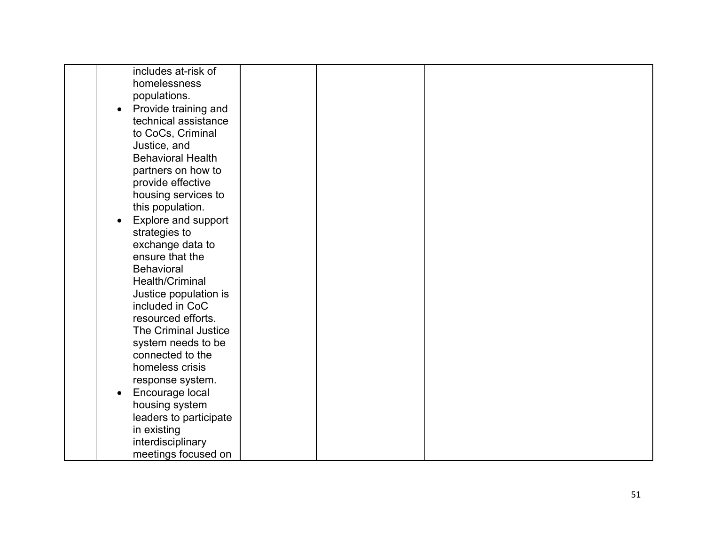| includes at-risk of               |  |  |
|-----------------------------------|--|--|
| homelessness                      |  |  |
| populations.                      |  |  |
| Provide training and<br>$\bullet$ |  |  |
| technical assistance              |  |  |
| to CoCs, Criminal                 |  |  |
| Justice, and                      |  |  |
| <b>Behavioral Health</b>          |  |  |
| partners on how to                |  |  |
| provide effective                 |  |  |
| housing services to               |  |  |
| this population.                  |  |  |
| Explore and support               |  |  |
| strategies to                     |  |  |
| exchange data to                  |  |  |
| ensure that the                   |  |  |
| <b>Behavioral</b>                 |  |  |
| Health/Criminal                   |  |  |
| Justice population is             |  |  |
| included in CoC                   |  |  |
| resourced efforts.                |  |  |
| The Criminal Justice              |  |  |
| system needs to be                |  |  |
| connected to the                  |  |  |
| homeless crisis                   |  |  |
| response system.                  |  |  |
| Encourage local                   |  |  |
| housing system                    |  |  |
| leaders to participate            |  |  |
| in existing                       |  |  |
| interdisciplinary                 |  |  |
| meetings focused on               |  |  |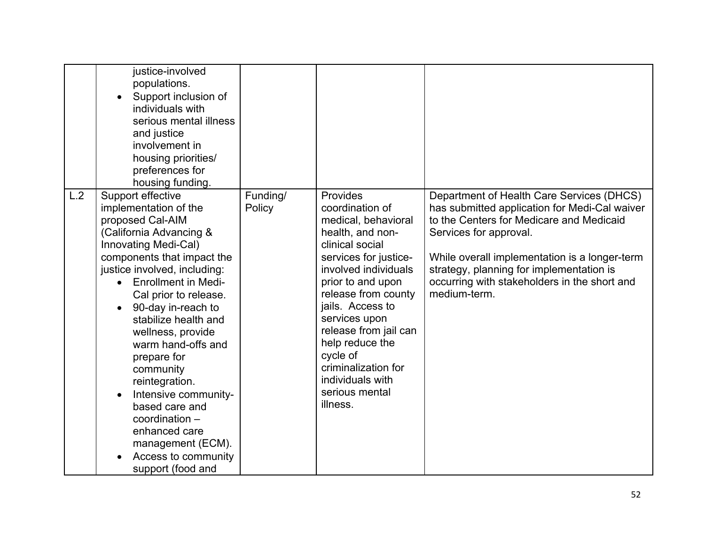|     | justice-involved<br>populations.<br>Support inclusion of<br>individuals with<br>serious mental illness<br>and justice<br>involvement in<br>housing priorities/<br>preferences for<br>housing funding.                                                                                                                                                                                                                                                                                                                                    |                    |                                                                                                                                                                                                                                                                                                                                                              |                                                                                                                                                                                                                                                                                                                               |
|-----|------------------------------------------------------------------------------------------------------------------------------------------------------------------------------------------------------------------------------------------------------------------------------------------------------------------------------------------------------------------------------------------------------------------------------------------------------------------------------------------------------------------------------------------|--------------------|--------------------------------------------------------------------------------------------------------------------------------------------------------------------------------------------------------------------------------------------------------------------------------------------------------------------------------------------------------------|-------------------------------------------------------------------------------------------------------------------------------------------------------------------------------------------------------------------------------------------------------------------------------------------------------------------------------|
| L.2 | Support effective<br>implementation of the<br>proposed Cal-AIM<br>(California Advancing &<br>Innovating Medi-Cal)<br>components that impact the<br>justice involved, including:<br><b>Enrollment in Medi-</b><br>$\bullet$<br>Cal prior to release.<br>90-day in-reach to<br>stabilize health and<br>wellness, provide<br>warm hand-offs and<br>prepare for<br>community<br>reintegration.<br>Intensive community-<br>based care and<br>coordination -<br>enhanced care<br>management (ECM).<br>Access to community<br>support (food and | Funding/<br>Policy | Provides<br>coordination of<br>medical, behavioral<br>health, and non-<br>clinical social<br>services for justice-<br>involved individuals<br>prior to and upon<br>release from county<br>jails. Access to<br>services upon<br>release from jail can<br>help reduce the<br>cycle of<br>criminalization for<br>individuals with<br>serious mental<br>illness. | Department of Health Care Services (DHCS)<br>has submitted application for Medi-Cal waiver<br>to the Centers for Medicare and Medicaid<br>Services for approval.<br>While overall implementation is a longer-term<br>strategy, planning for implementation is<br>occurring with stakeholders in the short and<br>medium-term. |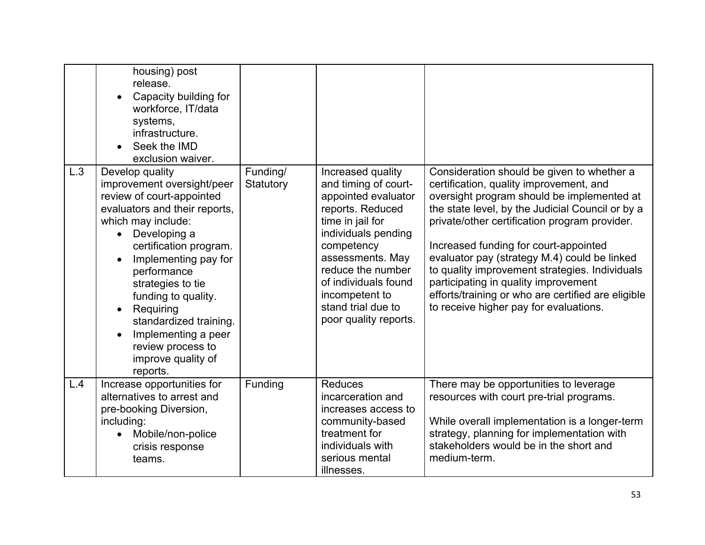|     | housing) post<br>release.<br>Capacity building for<br>workforce, IT/data<br>systems,<br>infrastructure.<br>Seek the IMD<br>exclusion waiver.                                                                                                                                                                                                                                                     |                       |                                                                                                                                                                                                                                                                                 |                                                                                                                                                                                                                                                                                                                                                                                                                                                                                                                             |
|-----|--------------------------------------------------------------------------------------------------------------------------------------------------------------------------------------------------------------------------------------------------------------------------------------------------------------------------------------------------------------------------------------------------|-----------------------|---------------------------------------------------------------------------------------------------------------------------------------------------------------------------------------------------------------------------------------------------------------------------------|-----------------------------------------------------------------------------------------------------------------------------------------------------------------------------------------------------------------------------------------------------------------------------------------------------------------------------------------------------------------------------------------------------------------------------------------------------------------------------------------------------------------------------|
| L.3 | Develop quality<br>improvement oversight/peer<br>review of court-appointed<br>evaluators and their reports,<br>which may include:<br>Developing a<br>certification program.<br>Implementing pay for<br>performance<br>strategies to tie<br>funding to quality.<br>Requiring<br>$\bullet$<br>standardized training.<br>Implementing a peer<br>review process to<br>improve quality of<br>reports. | Funding/<br>Statutory | Increased quality<br>and timing of court-<br>appointed evaluator<br>reports. Reduced<br>time in jail for<br>individuals pending<br>competency<br>assessments. May<br>reduce the number<br>of individuals found<br>incompetent to<br>stand trial due to<br>poor quality reports. | Consideration should be given to whether a<br>certification, quality improvement, and<br>oversight program should be implemented at<br>the state level, by the Judicial Council or by a<br>private/other certification program provider.<br>Increased funding for court-appointed<br>evaluator pay (strategy M.4) could be linked<br>to quality improvement strategies. Individuals<br>participating in quality improvement<br>efforts/training or who are certified are eligible<br>to receive higher pay for evaluations. |
| L.4 | Increase opportunities for<br>alternatives to arrest and<br>pre-booking Diversion,<br>including:<br>Mobile/non-police<br>crisis response<br>teams.                                                                                                                                                                                                                                               | Funding               | <b>Reduces</b><br>incarceration and<br>increases access to<br>community-based<br>treatment for<br>individuals with<br>serious mental<br>illnesses.                                                                                                                              | There may be opportunities to leverage<br>resources with court pre-trial programs.<br>While overall implementation is a longer-term<br>strategy, planning for implementation with<br>stakeholders would be in the short and<br>medium-term.                                                                                                                                                                                                                                                                                 |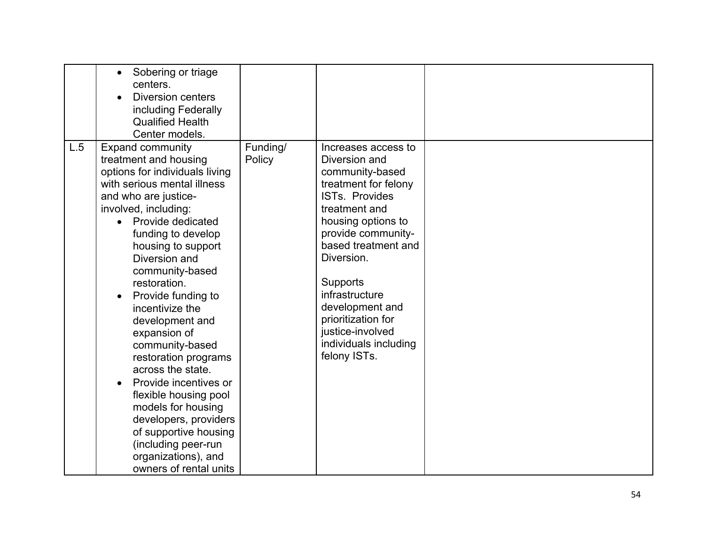| L.5 | Sobering or triage<br>$\bullet$<br>centers.<br><b>Diversion centers</b><br>including Federally<br><b>Qualified Health</b><br>Center models.                                                                                                                                                                                                                                                                                                                                                                                                                                                                                          |                    |                                                                                                                                                                                                                                                                                                                                         |  |
|-----|--------------------------------------------------------------------------------------------------------------------------------------------------------------------------------------------------------------------------------------------------------------------------------------------------------------------------------------------------------------------------------------------------------------------------------------------------------------------------------------------------------------------------------------------------------------------------------------------------------------------------------------|--------------------|-----------------------------------------------------------------------------------------------------------------------------------------------------------------------------------------------------------------------------------------------------------------------------------------------------------------------------------------|--|
|     | <b>Expand community</b><br>treatment and housing<br>options for individuals living<br>with serious mental illness<br>and who are justice-<br>involved, including:<br>Provide dedicated<br>funding to develop<br>housing to support<br>Diversion and<br>community-based<br>restoration.<br>Provide funding to<br>incentivize the<br>development and<br>expansion of<br>community-based<br>restoration programs<br>across the state.<br>Provide incentives or<br>flexible housing pool<br>models for housing<br>developers, providers<br>of supportive housing<br>(including peer-run<br>organizations), and<br>owners of rental units | Funding/<br>Policy | Increases access to<br>Diversion and<br>community-based<br>treatment for felony<br>ISTs. Provides<br>treatment and<br>housing options to<br>provide community-<br>based treatment and<br>Diversion.<br>Supports<br>infrastructure<br>development and<br>prioritization for<br>justice-involved<br>individuals including<br>felony ISTs. |  |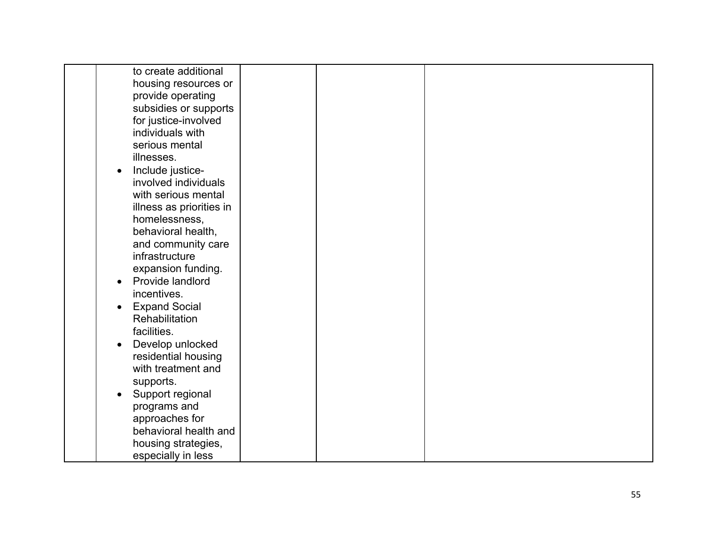| to create additional              |  |  |
|-----------------------------------|--|--|
| housing resources or              |  |  |
| provide operating                 |  |  |
| subsidies or supports             |  |  |
| for justice-involved              |  |  |
| individuals with                  |  |  |
| serious mental                    |  |  |
| illnesses.                        |  |  |
| Include justice-                  |  |  |
| involved individuals              |  |  |
| with serious mental               |  |  |
| illness as priorities in          |  |  |
| homelessness,                     |  |  |
| behavioral health,                |  |  |
| and community care                |  |  |
| infrastructure                    |  |  |
|                                   |  |  |
| expansion funding.                |  |  |
| Provide landlord                  |  |  |
| incentives.                       |  |  |
| <b>Expand Social</b><br>$\bullet$ |  |  |
| Rehabilitation                    |  |  |
| facilities.                       |  |  |
| Develop unlocked<br>$\bullet$     |  |  |
| residential housing               |  |  |
| with treatment and                |  |  |
| supports.                         |  |  |
| Support regional<br>$\bullet$     |  |  |
| programs and                      |  |  |
| approaches for                    |  |  |
| behavioral health and             |  |  |
| housing strategies,               |  |  |
| especially in less                |  |  |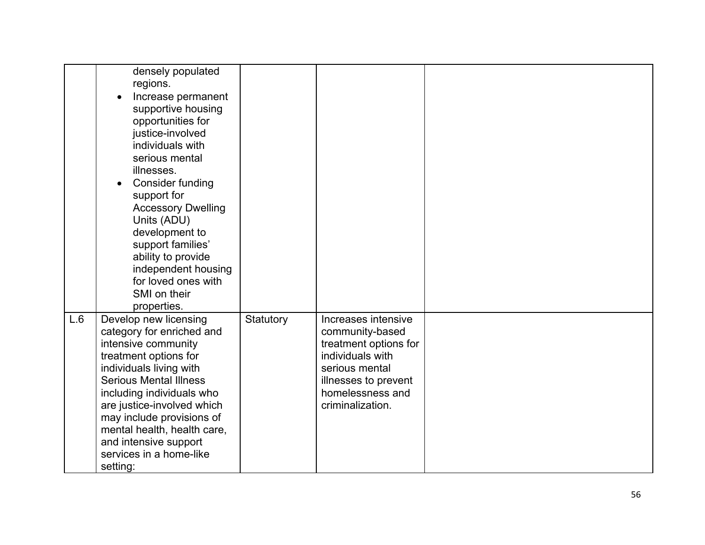|     | densely populated<br>regions.<br>Increase permanent<br>supportive housing<br>opportunities for<br>justice-involved<br>individuals with<br>serious mental<br>illnesses.<br><b>Consider funding</b><br>support for<br><b>Accessory Dwelling</b><br>Units (ADU)<br>development to<br>support families'<br>ability to provide<br>independent housing<br>for loved ones with<br>SMI on their<br>properties. |           |                                                                                                                                                                       |  |
|-----|--------------------------------------------------------------------------------------------------------------------------------------------------------------------------------------------------------------------------------------------------------------------------------------------------------------------------------------------------------------------------------------------------------|-----------|-----------------------------------------------------------------------------------------------------------------------------------------------------------------------|--|
| L.6 | Develop new licensing<br>category for enriched and<br>intensive community<br>treatment options for<br>individuals living with<br><b>Serious Mental Illness</b><br>including individuals who<br>are justice-involved which<br>may include provisions of<br>mental health, health care,<br>and intensive support<br>services in a home-like<br>setting:                                                  | Statutory | Increases intensive<br>community-based<br>treatment options for<br>individuals with<br>serious mental<br>illnesses to prevent<br>homelessness and<br>criminalization. |  |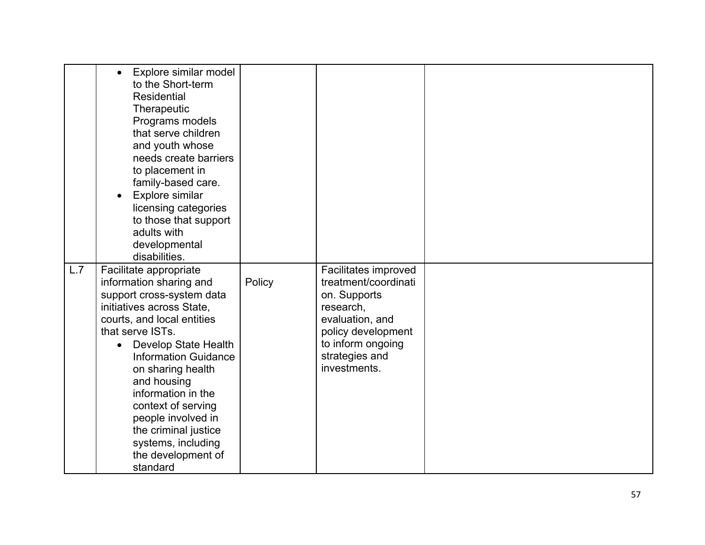| L.7 | Explore similar model<br>$\bullet$<br>to the Short-term<br><b>Residential</b><br>Therapeutic<br>Programs models<br>that serve children<br>and youth whose<br>needs create barriers<br>to placement in<br>family-based care.<br>Explore similar<br>licensing categories<br>to those that support<br>adults with<br>developmental<br>disabilities.<br>Facilitate appropriate<br>information sharing and<br>support cross-system data<br>initiatives across State,<br>courts, and local entities | Policy | Facilitates improved<br>treatment/coordinati<br>on. Supports<br>research,<br>evaluation, and |  |
|-----|-----------------------------------------------------------------------------------------------------------------------------------------------------------------------------------------------------------------------------------------------------------------------------------------------------------------------------------------------------------------------------------------------------------------------------------------------------------------------------------------------|--------|----------------------------------------------------------------------------------------------|--|
|     | that serve ISTs.                                                                                                                                                                                                                                                                                                                                                                                                                                                                              |        |                                                                                              |  |
|     | <b>Develop State Health</b><br>$\bullet$                                                                                                                                                                                                                                                                                                                                                                                                                                                      |        | policy development<br>to inform ongoing                                                      |  |
|     | <b>Information Guidance</b><br>on sharing health                                                                                                                                                                                                                                                                                                                                                                                                                                              |        | strategies and<br>investments.                                                               |  |
|     | and housing<br>information in the                                                                                                                                                                                                                                                                                                                                                                                                                                                             |        |                                                                                              |  |
|     | context of serving                                                                                                                                                                                                                                                                                                                                                                                                                                                                            |        |                                                                                              |  |
|     | people involved in<br>the criminal justice                                                                                                                                                                                                                                                                                                                                                                                                                                                    |        |                                                                                              |  |
|     | systems, including                                                                                                                                                                                                                                                                                                                                                                                                                                                                            |        |                                                                                              |  |
|     | the development of<br>standard                                                                                                                                                                                                                                                                                                                                                                                                                                                                |        |                                                                                              |  |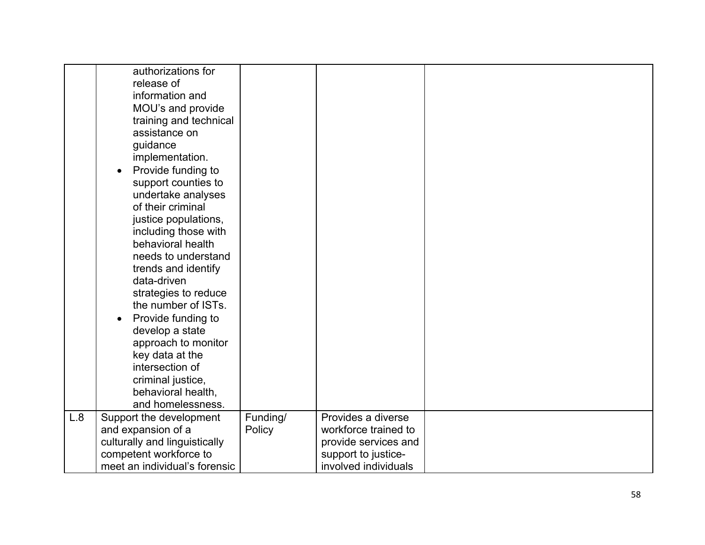|     | authorizations for<br>release of<br>information and<br>MOU's and provide<br>training and technical<br>assistance on<br>guidance<br>implementation.<br>Provide funding to<br>support counties to<br>undertake analyses<br>of their criminal<br>justice populations,<br>including those with<br>behavioral health<br>needs to understand<br>trends and identify<br>data-driven<br>strategies to reduce<br>the number of ISTs.<br>Provide funding to<br>$\bullet$<br>develop a state<br>approach to monitor<br>key data at the<br>intersection of<br>criminal justice,<br>behavioral health, |                    |                                                                                           |  |
|-----|-------------------------------------------------------------------------------------------------------------------------------------------------------------------------------------------------------------------------------------------------------------------------------------------------------------------------------------------------------------------------------------------------------------------------------------------------------------------------------------------------------------------------------------------------------------------------------------------|--------------------|-------------------------------------------------------------------------------------------|--|
|     |                                                                                                                                                                                                                                                                                                                                                                                                                                                                                                                                                                                           |                    |                                                                                           |  |
|     | and homelessness.                                                                                                                                                                                                                                                                                                                                                                                                                                                                                                                                                                         |                    |                                                                                           |  |
| L.8 | Support the development<br>and expansion of a<br>culturally and linguistically<br>competent workforce to                                                                                                                                                                                                                                                                                                                                                                                                                                                                                  | Funding/<br>Policy | Provides a diverse<br>workforce trained to<br>provide services and<br>support to justice- |  |
|     | meet an individual's forensic                                                                                                                                                                                                                                                                                                                                                                                                                                                                                                                                                             |                    | involved individuals                                                                      |  |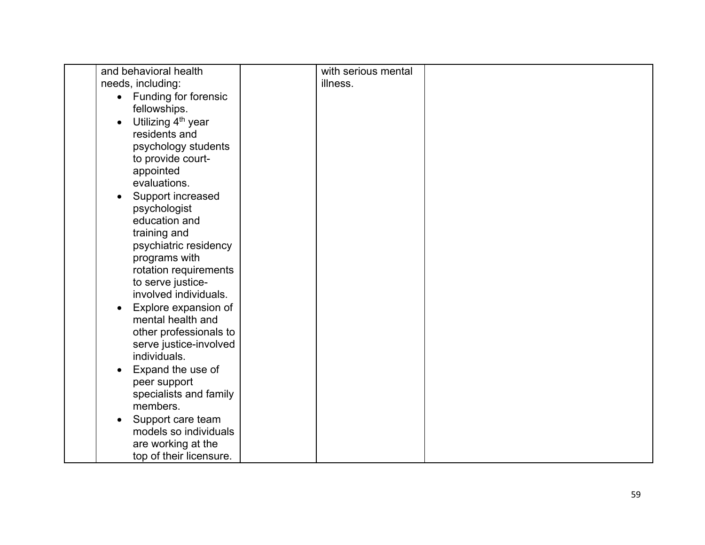| and behavioral health                       | with serious mental |  |
|---------------------------------------------|---------------------|--|
| needs, including:                           | illness.            |  |
| Funding for forensic<br>$\bullet$           |                     |  |
| fellowships.                                |                     |  |
| Utilizing 4 <sup>th</sup> year<br>$\bullet$ |                     |  |
| residents and                               |                     |  |
|                                             |                     |  |
| psychology students                         |                     |  |
| to provide court-                           |                     |  |
| appointed                                   |                     |  |
| evaluations.                                |                     |  |
| Support increased<br>$\bullet$              |                     |  |
| psychologist                                |                     |  |
| education and                               |                     |  |
| training and                                |                     |  |
| psychiatric residency                       |                     |  |
| programs with                               |                     |  |
| rotation requirements                       |                     |  |
| to serve justice-                           |                     |  |
| involved individuals.                       |                     |  |
| Explore expansion of<br>$\bullet$           |                     |  |
| mental health and                           |                     |  |
| other professionals to                      |                     |  |
| serve justice-involved                      |                     |  |
| individuals.                                |                     |  |
| Expand the use of<br>$\bullet$              |                     |  |
| peer support                                |                     |  |
| specialists and family                      |                     |  |
| members.                                    |                     |  |
| Support care team<br>$\bullet$              |                     |  |
| models so individuals                       |                     |  |
| are working at the                          |                     |  |
| top of their licensure.                     |                     |  |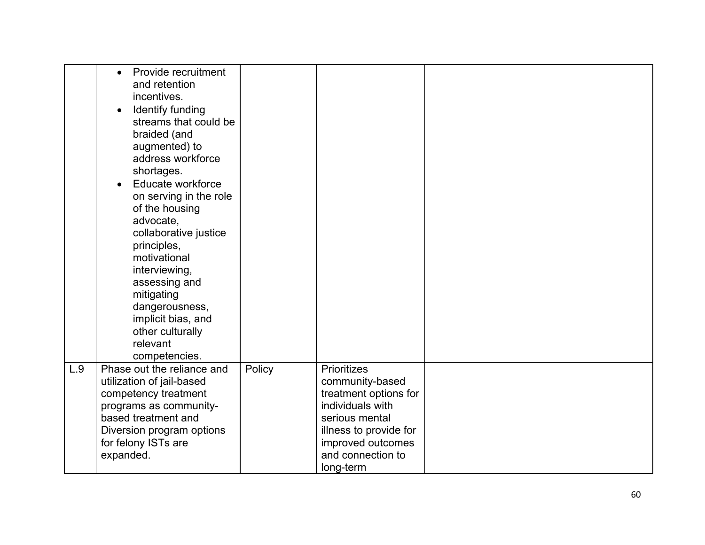|     | Provide recruitment<br>$\bullet$<br>and retention<br>incentives.<br>Identify funding<br>$\bullet$<br>streams that could be<br>braided (and<br>augmented) to<br>address workforce<br>shortages.<br>Educate workforce<br>on serving in the role<br>of the housing<br>advocate,<br>collaborative justice<br>principles,<br>motivational<br>interviewing,<br>assessing and<br>mitigating<br>dangerousness,<br>implicit bias, and<br>other culturally<br>relevant<br>competencies. |        |                                                                                                                                                                                |  |
|-----|-------------------------------------------------------------------------------------------------------------------------------------------------------------------------------------------------------------------------------------------------------------------------------------------------------------------------------------------------------------------------------------------------------------------------------------------------------------------------------|--------|--------------------------------------------------------------------------------------------------------------------------------------------------------------------------------|--|
| L.9 | Phase out the reliance and<br>utilization of jail-based<br>competency treatment<br>programs as community-<br>based treatment and<br>Diversion program options<br>for felony ISTs are<br>expanded.                                                                                                                                                                                                                                                                             | Policy | Prioritizes<br>community-based<br>treatment options for<br>individuals with<br>serious mental<br>illness to provide for<br>improved outcomes<br>and connection to<br>long-term |  |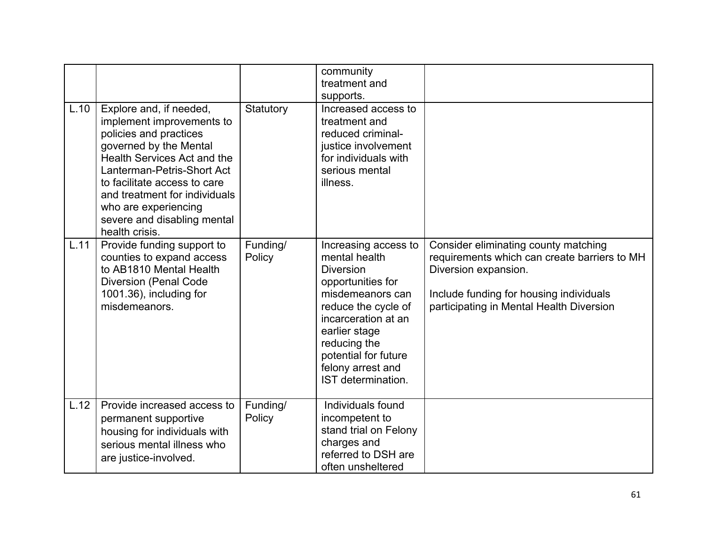|      |                                                                                                                                                                                                                                                                                                                 |                    | community<br>treatment and<br>supports.                                                                                                                                                                                                              |                                                                                                                                                                                                     |
|------|-----------------------------------------------------------------------------------------------------------------------------------------------------------------------------------------------------------------------------------------------------------------------------------------------------------------|--------------------|------------------------------------------------------------------------------------------------------------------------------------------------------------------------------------------------------------------------------------------------------|-----------------------------------------------------------------------------------------------------------------------------------------------------------------------------------------------------|
| L.10 | Explore and, if needed,<br>implement improvements to<br>policies and practices<br>governed by the Mental<br>Health Services Act and the<br>Lanterman-Petris-Short Act<br>to facilitate access to care<br>and treatment for individuals<br>who are experiencing<br>severe and disabling mental<br>health crisis. | Statutory          | Increased access to<br>treatment and<br>reduced criminal-<br>justice involvement<br>for individuals with<br>serious mental<br>illness.                                                                                                               |                                                                                                                                                                                                     |
| L.11 | Provide funding support to<br>counties to expand access<br>to AB1810 Mental Health<br><b>Diversion (Penal Code</b><br>1001.36), including for<br>misdemeanors.                                                                                                                                                  | Funding/<br>Policy | Increasing access to<br>mental health<br><b>Diversion</b><br>opportunities for<br>misdemeanors can<br>reduce the cycle of<br>incarceration at an<br>earlier stage<br>reducing the<br>potential for future<br>felony arrest and<br>IST determination. | Consider eliminating county matching<br>requirements which can create barriers to MH<br>Diversion expansion.<br>Include funding for housing individuals<br>participating in Mental Health Diversion |
| L.12 | Provide increased access to<br>permanent supportive<br>housing for individuals with<br>serious mental illness who<br>are justice-involved.                                                                                                                                                                      | Funding/<br>Policy | Individuals found<br>incompetent to<br>stand trial on Felony<br>charges and<br>referred to DSH are<br>often unsheltered                                                                                                                              |                                                                                                                                                                                                     |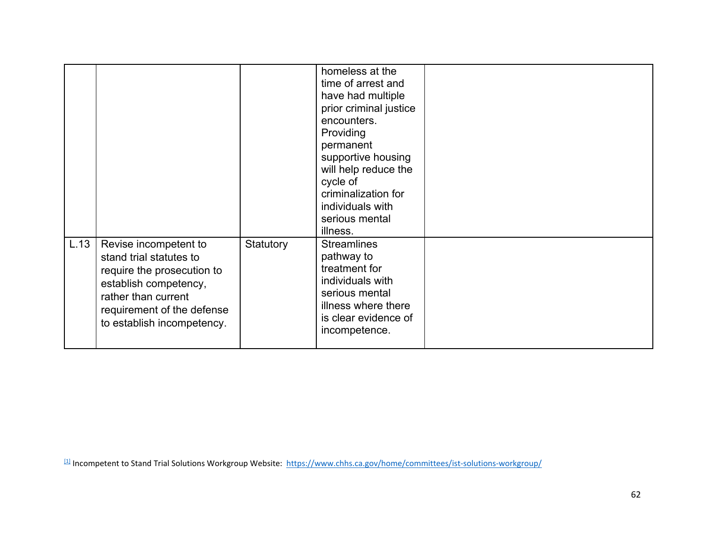|      |                                                                                                                                                                                            |           | homeless at the<br>time of arrest and<br>have had multiple<br>prior criminal justice<br>encounters.<br>Providing<br>permanent<br>supportive housing<br>will help reduce the<br>cycle of<br>criminalization for<br>individuals with<br>serious mental |  |
|------|--------------------------------------------------------------------------------------------------------------------------------------------------------------------------------------------|-----------|------------------------------------------------------------------------------------------------------------------------------------------------------------------------------------------------------------------------------------------------------|--|
| L.13 | Revise incompetent to<br>stand trial statutes to<br>require the prosecution to<br>establish competency,<br>rather than current<br>requirement of the defense<br>to establish incompetency. | Statutory | illness.<br><b>Streamlines</b><br>pathway to<br>treatment for<br>individuals with<br>serious mental<br>illness where there<br>is clear evidence of<br>incompetence.                                                                                  |  |

 $11$  Incompetent to Stand Trial Solutions Workgroup Website: <https://www.chhs.ca.gov/home/committees/ist-solutions-workgroup/>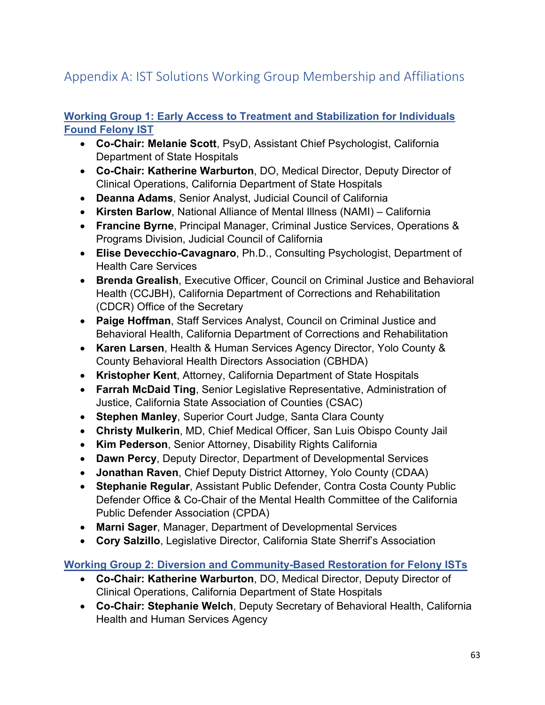# Appendix A: IST Solutions Working Group Membership and Affiliations

### **Working Group 1: Early Access to Treatment and Stabilization for Individuals Found Felony IST**

- **Co-Chair: Melanie Scott**, PsyD, Assistant Chief Psychologist, California Department of State Hospitals
- **Co-Chair: Katherine Warburton**, DO, Medical Director, Deputy Director of Clinical Operations, California Department of State Hospitals
- **Deanna Adams**, Senior Analyst, Judicial Council of California
- **Kirsten Barlow**, National Alliance of Mental Illness (NAMI) California
- **Francine Byrne**, Principal Manager, Criminal Justice Services, Operations & Programs Division, Judicial Council of California
- **Elise Devecchio-Cavagnaro**, Ph.D., Consulting Psychologist, Department of Health Care Services
- **Brenda Grealish**, Executive Officer, Council on Criminal Justice and Behavioral Health (CCJBH), California Department of Corrections and Rehabilitation (CDCR) Office of the Secretary
- **Paige Hoffman**, Staff Services Analyst, Council on Criminal Justice and Behavioral Health, California Department of Corrections and Rehabilitation
- **Karen Larsen**, Health & Human Services Agency Director, Yolo County & County Behavioral Health Directors Association (CBHDA)
- **Kristopher Kent**, Attorney, California Department of State Hospitals
- **Farrah McDaid Ting**, Senior Legislative Representative, Administration of Justice, California State Association of Counties (CSAC)
- **Stephen Manley**, Superior Court Judge, Santa Clara County
- **Christy Mulkerin**, MD, Chief Medical Officer, San Luis Obispo County Jail
- **Kim Pederson**, Senior Attorney, Disability Rights California
- **Dawn Percy**, Deputy Director, Department of Developmental Services
- **Jonathan Raven**, Chief Deputy District Attorney, Yolo County (CDAA)
- **Stephanie Regular**, Assistant Public Defender, Contra Costa County Public Defender Office & Co-Chair of the Mental Health Committee of the California Public Defender Association (CPDA)
- **Marni Sager**, Manager, Department of Developmental Services
- **Cory Salzillo**, Legislative Director, California State Sherrif's Association

**Working Group 2: Diversion and Community-Based Restoration for Felony ISTs**

- **Co-Chair: Katherine Warburton**, DO, Medical Director, Deputy Director of Clinical Operations, California Department of State Hospitals
- **Co-Chair: Stephanie Welch**, Deputy Secretary of Behavioral Health, California Health and Human Services Agency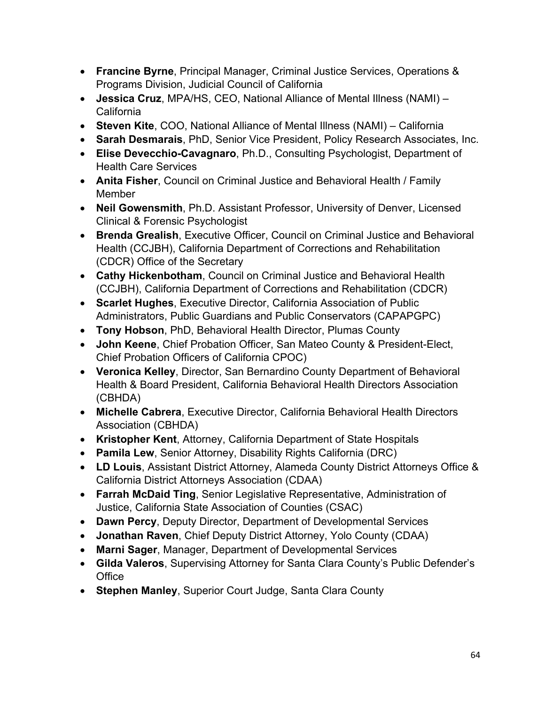- **Francine Byrne**, Principal Manager, Criminal Justice Services, Operations & Programs Division, Judicial Council of California
- **Jessica Cruz**, MPA/HS, CEO, National Alliance of Mental Illness (NAMI) California
- **Steven Kite**, COO, National Alliance of Mental Illness (NAMI) California
- **Sarah Desmarais**, PhD, Senior Vice President, Policy Research Associates, Inc.
- **Elise Devecchio-Cavagnaro**, Ph.D., Consulting Psychologist, Department of Health Care Services
- **Anita Fisher**, Council on Criminal Justice and Behavioral Health / Family **Member**
- **Neil Gowensmith**, Ph.D. Assistant Professor, University of Denver, Licensed Clinical & Forensic Psychologist
- **Brenda Grealish**, Executive Officer, Council on Criminal Justice and Behavioral Health (CCJBH), California Department of Corrections and Rehabilitation (CDCR) Office of the Secretary
- **Cathy Hickenbotham**, Council on Criminal Justice and Behavioral Health (CCJBH), California Department of Corrections and Rehabilitation (CDCR)
- **Scarlet Hughes**, Executive Director, California Association of Public Administrators, Public Guardians and Public Conservators (CAPAPGPC)
- **Tony Hobson**, PhD, Behavioral Health Director, Plumas County
- **John Keene**, Chief Probation Officer, San Mateo County & President-Elect, Chief Probation Officers of California CPOC)
- **Veronica Kelley**, Director, San Bernardino County Department of Behavioral Health & Board President, California Behavioral Health Directors Association (CBHDA)
- **Michelle Cabrera**, Executive Director, California Behavioral Health Directors Association (CBHDA)
- **Kristopher Kent**, Attorney, California Department of State Hospitals
- **Pamila Lew**, Senior Attorney, Disability Rights California (DRC)
- **LD Louis**, Assistant District Attorney, Alameda County District Attorneys Office & California District Attorneys Association (CDAA)
- **Farrah McDaid Ting**, Senior Legislative Representative, Administration of Justice, California State Association of Counties (CSAC)
- **Dawn Percy**, Deputy Director, Department of Developmental Services
- **Jonathan Raven**, Chief Deputy District Attorney, Yolo County (CDAA)
- **Marni Sager**, Manager, Department of Developmental Services
- **Gilda Valeros**, Supervising Attorney for Santa Clara County's Public Defender's **Office**
- **Stephen Manley**, Superior Court Judge, Santa Clara County